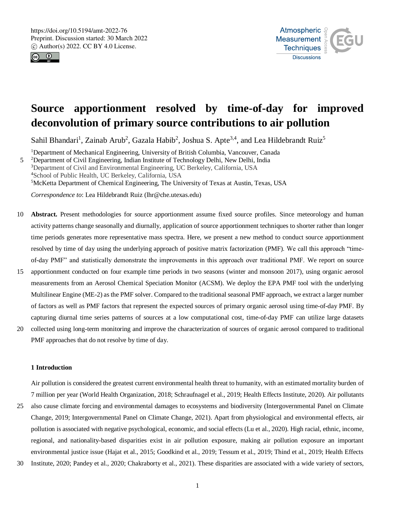



# **Source apportionment resolved by time-of-day for improved deconvolution of primary source contributions to air pollution**

Sahil Bhandari<sup>1</sup>, Zainab Arub<sup>2</sup>, Gazala Habib<sup>2</sup>, Joshua S. Apte<sup>3,4</sup>, and Lea Hildebrandt Ruiz<sup>5</sup>

Department of Mechanical Engineering, University of British Columbia, Vancouver, Canada 5 <sup>2</sup>Department of Civil Engineering, Indian Institute of Technology Delhi, New Delhi, India Department of Civil and Environmental Engineering, UC Berkeley, California, USA School of Public Health, UC Berkeley, California, USA McKetta Department of Chemical Engineering, The University of Texas at Austin, Texas, USA

*Correspondence to*: Lea Hildebrandt Ruiz (lhr@che.utexas.edu)

- 10 **Abstract.** Present methodologies for source apportionment assume fixed source profiles. Since meteorology and human activity patterns change seasonally and diurnally, application of source apportionment techniques to shorter rather than longer time periods generates more representative mass spectra. Here, we present a new method to conduct source apportionment resolved by time of day using the underlying approach of positive matrix factorization (PMF). We call this approach "timeof-day PMF" and statistically demonstrate the improvements in this approach over traditional PMF. We report on source
- 15 apportionment conducted on four example time periods in two seasons (winter and monsoon 2017), using organic aerosol measurements from an Aerosol Chemical Speciation Monitor (ACSM). We deploy the EPA PMF tool with the underlying Multilinear Engine (ME-2) as the PMF solver. Compared to the traditional seasonal PMF approach, we extract a larger number of factors as well as PMF factors that represent the expected sources of primary organic aerosol using time-of-day PMF. By capturing diurnal time series patterns of sources at a low computational cost, time-of-day PMF can utilize large datasets
- 20 collected using long-term monitoring and improve the characterization of sources of organic aerosol compared to traditional PMF approaches that do not resolve by time of day.

# **1 Introduction**

Air pollution is considered the greatest current environmental health threat to humanity, with an estimated mortality burden of 7 million per year (World Health Organization, 2018; Schraufnagel et al., 2019; Health Effects Institute, 2020). Air pollutants

- 25 also cause climate forcing and environmental damages to ecosystems and biodiversity (Intergovernmental Panel on Climate Change, 2019; Intergovernmental Panel on Climate Change, 2021). Apart from physiological and environmental effects, air pollution is associated with negative psychological, economic, and social effects (Lu et al., 2020). High racial, ethnic, income, regional, and nationality-based disparities exist in air pollution exposure, making air pollution exposure an important environmental justice issue (Hajat et al., 2015; Goodkind et al., 2019; Tessum et al., 2019; Thind et al., 2019; Health Effects
- 30 Institute, 2020; Pandey et al., 2020; Chakraborty et al., 2021). These disparities are associated with a wide variety of sectors,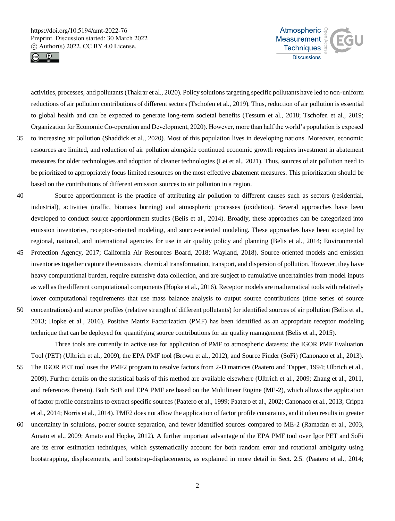



activities, processes, and pollutants (Thakrar et al., 2020). Policy solutions targeting specific pollutants have led to non-uniform reductions of air pollution contributions of different sectors (Tschofen et al., 2019). Thus, reduction of air pollution is essential to global health and can be expected to generate long-term societal benefits (Tessum et al., 2018; Tschofen et al., 2019; Organization for Economic Co-operation and Development, 2020). However, more than half the world's population is exposed

- 35 to increasing air pollution (Shaddick et al., 2020). Most of this population lives in developing nations. Moreover, economic resources are limited, and reduction of air pollution alongside continued economic growth requires investment in abatement measures for older technologies and adoption of cleaner technologies (Lei et al., 2021). Thus, sources of air pollution need to be prioritized to appropriately focus limited resources on the most effective abatement measures. This prioritization should be based on the contributions of different emission sources to air pollution in a region.
- 40 Source apportionment is the practice of attributing air pollution to different causes such as sectors (residential, industrial), activities (traffic, biomass burning) and atmospheric processes (oxidation). Several approaches have been developed to conduct source apportionment studies (Belis et al., 2014). Broadly, these approaches can be categorized into emission inventories, receptor-oriented modeling, and source-oriented modeling. These approaches have been accepted by regional, national, and international agencies for use in air quality policy and planning (Belis et al., 2014; Environmental
- 45 Protection Agency, 2017; California Air Resources Board, 2018; Wayland, 2018). Source-oriented models and emission inventories together capture the emissions, chemical transformation, transport, and dispersion of pollution. However, they have heavy computational burden, require extensive data collection, and are subject to cumulative uncertainties from model inputs as well as the different computational components (Hopke et al., 2016). Receptor models are mathematical tools with relatively lower computational requirements that use mass balance analysis to output source contributions (time series of source
- 50 concentrations) and source profiles (relative strength of different pollutants) for identified sources of air pollution (Belis et al., 2013; Hopke et al., 2016). Positive Matrix Factorization (PMF) has been identified as an appropriate receptor modeling technique that can be deployed for quantifying source contributions for air quality management (Belis et al., 2015).

Three tools are currently in active use for application of PMF to atmospheric datasets: the IGOR PMF Evaluation Tool (PET) (Ulbrich et al., 2009), the EPA PMF tool (Brown et al., 2012), and Source Finder (SoFi) (Canonaco et al., 2013).

- 55 The IGOR PET tool uses the PMF2 program to resolve factors from 2-D matrices (Paatero and Tapper, 1994; Ulbrich et al., 2009). Further details on the statistical basis of this method are available elsewhere (Ulbrich et al., 2009; Zhang et al., 2011, and references therein). Both SoFi and EPA PMF are based on the Multilinear Engine (ME-2), which allows the application of factor profile constraints to extract specific sources (Paatero et al., 1999; Paatero et al., 2002; Canonaco et al., 2013; Crippa et al., 2014; Norris et al., 2014). PMF2 does not allow the application of factor profile constraints, and it often results in greater
- 60 uncertainty in solutions, poorer source separation, and fewer identified sources compared to ME-2 (Ramadan et al., 2003, Amato et al., 2009; Amato and Hopke, 2012). A further important advantage of the EPA PMF tool over Igor PET and SoFi are its error estimation techniques, which systematically account for both random error and rotational ambiguity using bootstrapping, displacements, and bootstrap-displacements, as explained in more detail in Sect. 2.5. (Paatero et al., 2014;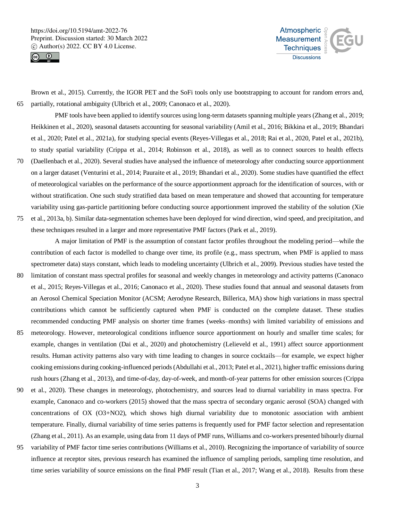



Brown et al., 2015). Currently, the IGOR PET and the SoFi tools only use bootstrapping to account for random errors and, 65 partially, rotational ambiguity (Ulbrich et al., 2009; Canonaco et al., 2020).

PMF tools have been applied to identify sources using long-term datasets spanning multiple years (Zhang et al., 2019; Heikkinen et al., 2020), seasonal datasets accounting for seasonal variability (Amil et al., 2016; Bikkina et al., 2019; Bhandari et al., 2020; Patel et al., 2021a), for studying special events (Reyes-Villegas et al., 2018; Rai et al., 2020, Patel et al., 2021b), to study spatial variability (Crippa et al., 2014; Robinson et al., 2018), as well as to connect sources to health effects 70 (Daellenbach et al., 2020). Several studies have analysed the influence of meteorology after conducting source apportionment

- on a larger dataset (Venturini et al., 2014; Pauraite et al., 2019; Bhandari et al., 2020). Some studies have quantified the effect of meteorological variables on the performance of the source apportionment approach for the identification of sources, with or without stratification. One such study stratified data based on mean temperature and showed that accounting for temperature variability using gas-particle partitioning before conducting source apportionment improved the stability of the solution (Xie
- 75 et al., 2013a, b). Similar data-segmentation schemes have been deployed for wind direction, wind speed, and precipitation, and these techniques resulted in a larger and more representative PMF factors (Park et al., 2019).

A major limitation of PMF is the assumption of constant factor profiles throughout the modeling period—while the contribution of each factor is modelled to change over time, its profile (e.g., mass spectrum, when PMF is applied to mass spectrometer data) stays constant, which leads to modeling uncertainty (Ulbrich et al., 2009). Previous studies have tested the

- 80 limitation of constant mass spectral profiles for seasonal and weekly changes in meteorology and activity patterns (Canonaco et al., 2015; Reyes-Villegas et al., 2016; Canonaco et al., 2020). These studies found that annual and seasonal datasets from an Aerosol Chemical Speciation Monitor (ACSM; Aerodyne Research, Billerica, MA) show high variations in mass spectral contributions which cannot be sufficiently captured when PMF is conducted on the complete dataset. These studies recommended conducting PMF analysis on shorter time frames (weeks–months) with limited variability of emissions and
- 85 meteorology. However, meteorological conditions influence source apportionment on hourly and smaller time scales; for example, changes in ventilation (Dai et al., 2020) and photochemistry (Lelieveld et al., 1991) affect source apportionment results. Human activity patterns also vary with time leading to changes in source cocktails—for example, we expect higher cooking emissions during cooking-influenced periods (Abdullahi et al., 2013; Patel et al., 2021), higher traffic emissions during rush hours (Zhang et al., 2013), and time-of-day, day-of-week, and month-of-year patterns for other emission sources (Crippa
- 90 et al., 2020). These changes in meteorology, photochemistry, and sources lead to diurnal variability in mass spectra. For example, Canonaco and co-workers (2015) showed that the mass spectra of secondary organic aerosol (SOA) changed with concentrations of OX (O3+NO2), which shows high diurnal variability due to monotonic association with ambient temperature. Finally, diurnal variability of time series patterns is frequently used for PMF factor selection and representation (Zhang et al., 2011). As an example, using data from 11 days of PMF runs, Williams and co-workers presented bihourly diurnal
- 95 variability of PMF factor time series contributions (Williams et al., 2010). Recognizing the importance of variability of source influence at receptor sites, previous research has examined the influence of sampling periods, sampling time resolution, and time series variability of source emissions on the final PMF result (Tian et al., 2017; Wang et al., 2018). Results from these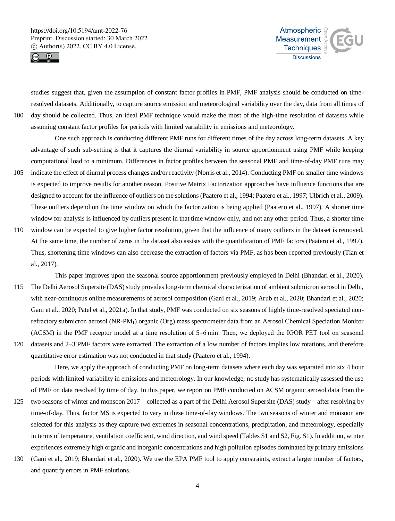



studies suggest that, given the assumption of constant factor profiles in PMF, PMF analysis should be conducted on timeresolved datasets. Additionally, to capture source emission and meteorological variability over the day, data from all times of 100 day should be collected. Thus, an ideal PMF technique would make the most of the high-time resolution of datasets while assuming constant factor profiles for periods with limited variability in emissions and meteorology.

One such approach is conducting different PMF runs for different times of the day across long-term datasets. A key advantage of such sub-setting is that it captures the diurnal variability in source apportionment using PMF while keeping computational load to a minimum. Differences in factor profiles between the seasonal PMF and time-of-day PMF runs may

- 105 indicate the effect of diurnal process changes and/or reactivity (Norris et al., 2014). Conducting PMF on smaller time windows is expected to improve results for another reason. Positive Matrix Factorization approaches have influence functions that are designed to account for the influence of outliers on the solutions (Paatero et al., 1994; Paatero et al., 1997; Ulbrich et al., 2009). These outliers depend on the time window on which the factorization is being applied (Paatero et al., 1997). A shorter time window for analysis is influenced by outliers present in that time window only, and not any other period. Thus, a shorter time
- 110 window can be expected to give higher factor resolution, given that the influence of many outliers in the dataset is removed. At the same time, the number of zeros in the dataset also assists with the quantification of PMF factors (Paatero et al., 1997). Thus, shortening time windows can also decrease the extraction of factors via PMF, as has been reported previously (Tian et al., 2017).

This paper improves upon the seasonal source apportionment previously employed in Delhi (Bhandari et al., 2020). 115 The Delhi Aerosol Supersite (DAS) study provides long-term chemical characterization of ambient submicron aerosol in Delhi, with near-continuous online measurements of aerosol composition (Gani et al., 2019; Arub et al., 2020; Bhandari et al., 2020; Gani et al., 2020; Patel et al., 2021a). In that study, PMF was conducted on six seasons of highly time-resolved speciated nonrefractory submicron aerosol (NR-PM1) organic (Org) mass spectrometer data from an Aerosol Chemical Speciation Monitor (ACSM) in the PMF receptor model at a time resolution of 5–6 min. Then, we deployed the IGOR PET tool on seasonal 120 datasets and 2–3 PMF factors were extracted. The extraction of a low number of factors implies low rotations, and therefore

quantitative error estimation was not conducted in that study (Paatero et al., 1994).

Here, we apply the approach of conducting PMF on long-term datasets where each day was separated into six 4 hour periods with limited variability in emissions and meteorology. In our knowledge, no study has systematically assessed the use of PMF on data resolved by time of day. In this paper, we report on PMF conducted on ACSM organic aerosol data from the

- 125 two seasons of winter and monsoon 2017—collected as a part of the Delhi Aerosol Supersite (DAS) study—after resolving by time-of-day. Thus, factor MS is expected to vary in these time-of-day windows. The two seasons of winter and monsoon are selected for this analysis as they capture two extremes in seasonal concentrations, precipitation, and meteorology, especially in terms of temperature, ventilation coefficient, wind direction, and wind speed (Tables S1 and S2, Fig. S1). In addition, winter experiences extremely high organic and inorganic concentrations and high pollution episodes dominated by primary emissions
- 130 (Gani et al., 2019; Bhandari et al., 2020). We use the EPA PMF tool to apply constraints, extract a larger number of factors, and quantify errors in PMF solutions.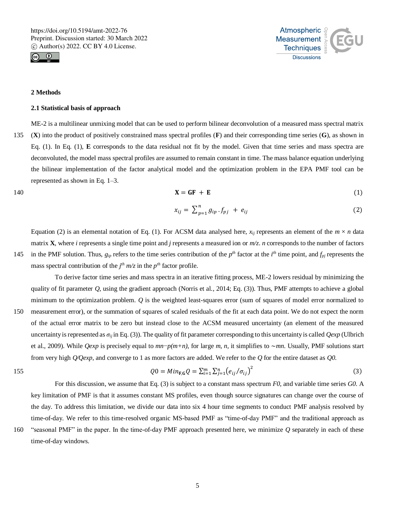



# **2 Methods**

#### **2.1 Statistical basis of approach**

ME-2 is a multilinear unmixing model that can be used to perform bilinear deconvolution of a measured mass spectral matrix 135 (**X**) into the product of positively constrained mass spectral profiles (**F**) and their corresponding time series (**G**), as shown in Eq. (1). In Eq. (1), **E** corresponds to the data residual not fit by the model. Given that time series and mass spectra are deconvoluted, the model mass spectral profiles are assumed to remain constant in time. The mass balance equation underlying the bilinear implementation of the factor analytical model and the optimization problem in the EPA PMF tool can be represented as shown in Eq. 1–3.

$$
X = GF + E \tag{1}
$$

$$
x_{ij} = \sum_{p=1}^{n} g_{ip} \cdot f_{pj} + e_{ij}
$$
 (2)

Equation (2) is an elemental notation of Eq. (1). For ACSM data analysed here,  $x_{ij}$  represents an element of the  $m \times n$  data matrix **X**, where *i* represents a single time point and *j* represents a measured ion or *m/z*. *n* corresponds to the number of factors 145 in the PMF solution. Thus,  $g_{ip}$  refers to the time series contribution of the  $p^{th}$  factor at the  $i^{th}$  time point, and  $f_{pj}$  represents the mass spectral contribution of the  $j<sup>th</sup> m/z$  in the  $p<sup>th</sup>$  factor profile.

To derive factor time series and mass spectra in an iterative fitting process, ME-2 lowers residual by minimizing the quality of fit parameter *Q*, using the gradient approach (Norris et al., 2014; Eq. (3)). Thus, PMF attempts to achieve a global minimum to the optimization problem. *Q* is the weighted least-squares error (sum of squares of model error normalized to 150 measurement error), or the summation of squares of scaled residuals of the fit at each data point. We do not expect the norm of the actual error matrix to be zero but instead close to the ACSM measured uncertainty (an element of the measured uncertainty is represented as *σij* in Eq. (3)). The quality of fit parameter corresponding to this uncertainty is called *Qexp* (Ulbrich et al., 2009). While *Qexp* is precisely equal to *mn*−*p(m+n)*, for large *m*, *n*, it simplifies to ∼*mn*. Usually, PMF solutions start from very high *Q⁄Qexp*, and converge to 1 as more factors are added. We refer to the *Q* for the entire dataset as *Q0*.

155 
$$
Q0 = Min_{F,G} Q = \sum_{i=1}^{m} \sum_{j=1}^{n} (e_{ij}/\sigma_{ij})^2
$$
 (3)

For this discussion, we assume that Eq. (3) is subject to a constant mass spectrum *F0*, and variable time series *G0*. A key limitation of PMF is that it assumes constant MS profiles, even though source signatures can change over the course of the day. To address this limitation, we divide our data into six 4 hour time segments to conduct PMF analysis resolved by time-of-day. We refer to this time-resolved organic MS-based PMF as "time-of-day PMF" and the traditional approach as

160 "seasonal PMF" in the paper. In the time-of-day PMF approach presented here, we minimize *Q* separately in each of these time-of-day windows.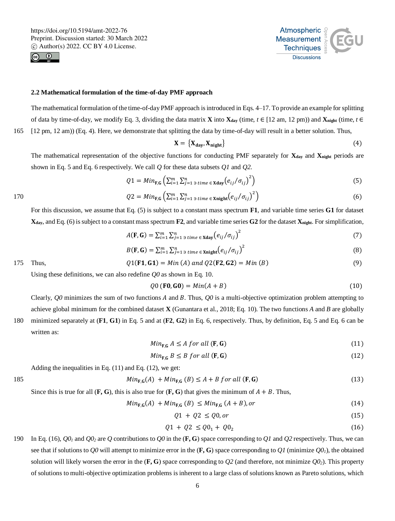



#### **2.2 Mathematical formulation of the time-of-day PMF approach**

The mathematical formulation of the time-of-day PMF approach is introduced in Eqs. 4–17. To provide an example for splitting of data by time-of-day, we modify Eq. 3, dividing the data matrix **X** into  $X_{day}$  (time,  $t \in [12 \text{ am}, 12 \text{ pm})$ ) and  $X_{night}$  (time,  $t \in [12 \text{ cm}, 12 \text{ pm})$ ) 165 [12 pm, 12 am)) (Eq. 4). Here, we demonstrate that splitting the data by time-of-day will result in a better solution. Thus,

$$
X = \{X_{\text{day}}, X_{\text{night}}\} \tag{4}
$$

The mathematical representation of the objective functions for conducting PMF separately for **Xday** and **Xnight** periods are shown in Eq. 5 and Eq. 6 respectively. We call *Q* for these data subsets *Q1* and *Q2*.

$$
Q1 = Min_{\mathbf{F,G}}\left(\sum_{i=1}^{m}\sum_{j=1 \text{ prime}}^{n} \epsilon_{\mathbf{Xday}}\left(e_{ij}/\sigma_{ij}\right)^2\right) \tag{5}
$$

170 
$$
Q2 = Min_{\mathbf{F,G}} \left( \sum_{i=1}^{m} \sum_{j=1}^{n} \sum_{j \text{ time } \in \text{Xnight}} \left( e_{ij} / \sigma_{ij} \right)^2 \right)
$$
(6)

For this discussion, we assume that Eq. (5) is subject to a constant mass spectrum **F1**, and variable time series **G1** for dataset **Xday**, and Eq. (6) is subject to a constant mass spectrum **F2**, and variable time series **G2** for the dataset **Xnight**. For simplification,

$$
A(\mathbf{F}, \mathbf{G}) = \sum_{i=1}^{m} \sum_{j=1 \text{ s time}}^{n} \epsilon_{\text{Xday}} \left( e_{ij} / \sigma_{ij} \right)^2 \tag{7}
$$

$$
B(\mathbf{F}, \mathbf{G}) = \sum_{i=1}^{m} \sum_{j=1 \text{ prime}}^{n} \epsilon_{\text{Xnight}} \left( e_{ij} / \sigma_{ij} \right)^2
$$
\n
$$
Q1(\mathbf{F1}, \mathbf{G1}) = Min (A) and Q2(\mathbf{F2}, \mathbf{G2}) = Min (B) \tag{9}
$$

Using these definitions, we can also redefine *Q0* as shown in Eq. 10.

$$
Q0 (F0, G0) = Min(A + B)
$$
 (10)

Clearly,  $Q_0$  minimizes the sum of two functions  $A$  and  $B$ . Thus,  $Q_0$  is a multi-objective optimization problem attempting to achieve global minimum for the combined dataset **X** (Gunantara et al., 2018; Eq. 10). The two functions *A* and *B* are globally

180 minimized separately at (**F1**, **G1**) in Eq. 5 and at (**F2**, **G2**) in Eq. 6, respectively. Thus, by definition, Eq. 5 and Eq. 6 can be written as:

$$
Min_{F,G} A \leq A \text{ for all } (F,G)
$$
\n<sup>(11)</sup>

$$
Min_{F,G} B \leq B \text{ for all } (F,G)
$$
\n<sup>(12)</sup>

Adding the inequalities in Eq. (11) and Eq. (12), we get:

$$
Min_{F,G}(A) + Min_{F,G}(B) \le A + B \text{ for all } (F,G)
$$
\n
$$
(13)
$$

Since this is true for all  $(\mathbf{F}, \mathbf{G})$ , this is also true for  $(\mathbf{F}, \mathbf{G})$  that gives the minimum of  $A + B$ . Thus,

$$
Min_{F,G}(A) + Min_{F,G}(B) \leq Min_{F,G}(A+B), or \qquad (14)
$$

$$
Q1 + Q2 \le Q0, or \tag{15}
$$

$$
Q1 + Q2 \leq Q0_1 + Q0_2 \tag{16}
$$

190 In Eq. (16), *Q0<sup>1</sup>* and *Q0<sup>2</sup>* are *Q* contributions to *Q0* in the (**F, G**) space corresponding to *Q1* and *Q2* respectively. Thus, we can see that if solutions to *Q0* will attempt to minimize error in the  $(\mathbf{F}, \mathbf{G})$  space corresponding to *Q1* (minimize  $O(1)$ ), the obtained solution will likely worsen the error in the  $(F, G)$  space corresponding to  $Q2$  (and therefore, not minimize  $Q0_2$ ). This property of solutions to multi-objective optimization problems is inherent to a large class of solutions known as Pareto solutions, which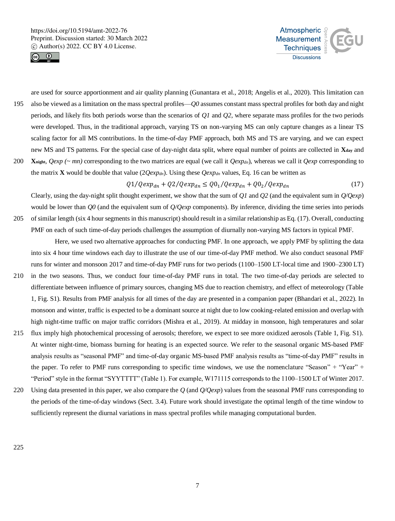



are used for source apportionment and air quality planning (Gunantara et al., 2018; Angelis et al., 2020). This limitation can 195 also be viewed as a limitation on the mass spectral profiles—*Q0* assumes constant mass spectral profiles for both day and night periods, and likely fits both periods worse than the scenarios of *Q1* and *Q2*, where separate mass profiles for the two periods were developed. Thus, in the traditional approach, varying TS on non-varying MS can only capture changes as a linear TS scaling factor for all MS contributions. In the time-of-day PMF approach, both MS and TS are varying, and we can expect new MS and TS patterns. For the special case of day-night data split, where equal number of points are collected in **Xday** and 200 **X**<sub>night</sub>,  $Qexp$  (~ mn) corresponding to the two matrices are equal (we call it  $Qexp_{dn}$ ), whereas we call it  $Qexp$  corresponding to the matrix **X** would be double that value  $(2Qexp_{dn})$ . Using these  $Qexp_{dn}$  values, Eq. 16 can be written as

$$
Q1/Qexp_{dn} + Q2/Qexp_{dn} \le Q0_1/Qexp_{dn} + Q0_2/Qexp_{dn}
$$
\n<sup>(17)</sup>

Clearly, using the day-night split thought experiment, we show that the sum of *Q1* and *Q2* (and the equivalent sum in *Q/Qexp*) would be lower than *Q0* (and the equivalent sum of *Q/Qexp* components). By inference, dividing the time series into periods 205 of similar length (six 4 hour segments in this manuscript) should result in a similar relationship as Eq. (17). Overall, conducting PMF on each of such time-of-day periods challenges the assumption of diurnally non-varying MS factors in typical PMF.

Here, we used two alternative approaches for conducting PMF. In one approach, we apply PMF by splitting the data into six 4 hour time windows each day to illustrate the use of our time-of-day PMF method. We also conduct seasonal PMF runs for winter and monsoon 2017 and time-of-day PMF runs for two periods (1100–1500 LT-local time and 1900–2300 LT)

- 210 in the two seasons. Thus, we conduct four time-of-day PMF runs in total. The two time-of-day periods are selected to differentiate between influence of primary sources, changing MS due to reaction chemistry, and effect of meteorology (Table 1, Fig. S1). Results from PMF analysis for all times of the day are presented in a companion paper (Bhandari et al., 2022). In monsoon and winter, traffic is expected to be a dominant source at night due to low cooking-related emission and overlap with high night-time traffic on major traffic corridors (Mishra et al., 2019). At midday in monsoon, high temperatures and solar
- 215 flux imply high photochemical processing of aerosols; therefore, we expect to see more oxidized aerosols (Table 1, Fig. S1). At winter night-time, biomass burning for heating is an expected source. We refer to the seasonal organic MS-based PMF analysis results as "seasonal PMF" and time-of-day organic MS-based PMF analysis results as "time-of-day PMF" results in the paper. To refer to PMF runs corresponding to specific time windows, we use the nomenclature "Season" + "Year" + "Period" style in the format "SYYTTTT" (Table 1). For example, W171115 corresponds to the 1100–1500 LT of Winter 2017.
- 220 Using data presented in this paper, we also compare the *Q* (and *Q/Qexp*) values from the seasonal PMF runs corresponding to the periods of the time-of-day windows (Sect. 3.4). Future work should investigate the optimal length of the time window to sufficiently represent the diurnal variations in mass spectral profiles while managing computational burden.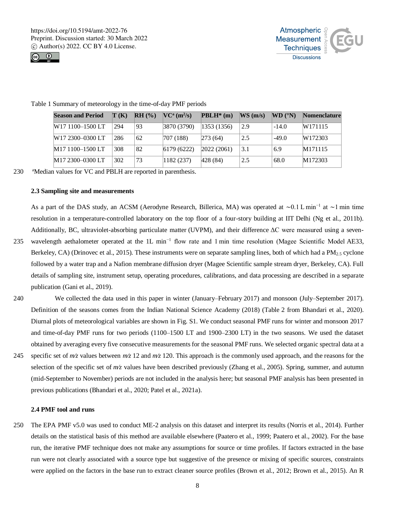



| <b>Season and Period</b>     | $\mathbf{T}(\mathbf{K})$ | RH (%) | $\rm NC^a \left( m^2/s \right)$ | $\mathbf{PBLH}^*(\mathbf{m})$ | WS(m/s) | WD (°N) | <b>Nomenclature</b> |
|------------------------------|--------------------------|--------|---------------------------------|-------------------------------|---------|---------|---------------------|
| W17 1100-1500 LT             | 294                      | 93     | 3870 (3790)                     | 1353(1356)                    | 2.9     | $-14.0$ | W171115             |
| W17 2300-0300 LT             | 286                      | 62     | 707 (188)                       | 273(64)                       | 2.5     | $-49.0$ | W172303             |
| M17 1100-1500 LT             | 308                      | 82     | 6179(6222)                      | 2022(2061)                    | 3.1     | 6.9     | M171115             |
| M <sub>17</sub> 2300-0300 LT | 302                      | 73     | 1182(237)                       | 428(84)                       | 2.5     | 68.0    | M172303             |

Table 1 Summary of meteorology in the time-of-day PMF periods

230 aMedian values for VC and PBLH are reported in parenthesis.

## **2.3 Sampling site and measurements**

As a part of the DAS study, an ACSM (Aerodyne Research, Billerica, MA) was operated at ∼0.1 L min−1 at ∼1 min time resolution in a temperature-controlled laboratory on the top floor of a four-story building at IIT Delhi (Ng et al., 2011b). Additionally, BC, ultraviolet-absorbing particulate matter (UVPM), and their difference ΔC were measured using a seven-

- 235 wavelength aethalometer operated at the 1L min<sup>-1</sup> flow rate and 1 min time resolution (Magee Scientific Model AE33, Berkeley, CA) (Drinovec et al., 2015). These instruments were on separate sampling lines, both of which had a PM $_{2.5}$  cyclone followed by a water trap and a Nafion membrane diffusion dryer (Magee Scientific sample stream dryer, Berkeley, CA). Full details of sampling site, instrument setup, operating procedures, calibrations, and data processing are described in a separate publication (Gani et al., 2019).
- 240 We collected the data used in this paper in winter (January–February 2017) and monsoon (July–September 2017). Definition of the seasons comes from the Indian National Science Academy (2018) (Table 2 from Bhandari et al., 2020). Diurnal plots of meteorological variables are shown in Fig. S1. We conduct seasonal PMF runs for winter and monsoon 2017 and time-of-day PMF runs for two periods (1100–1500 LT and 1900–2300 LT) in the two seasons. We used the dataset obtained by averaging every five consecutive measurements for the seasonal PMF runs. We selected organic spectral data at a
- 245 specific set of *m⁄z* values between *m*∕*z* 12 and *m*∕*z* 120. This approach is the commonly used approach, and the reasons for the selection of the specific set of *m*∕*z* values have been described previously (Zhang et al., 2005). Spring, summer, and autumn (mid-September to November) periods are not included in the analysis here; but seasonal PMF analysis has been presented in previous publications (Bhandari et al., 2020; Patel et al., 2021a).

# **2.4 PMF tool and runs**

250 The EPA PMF v5.0 was used to conduct ME-2 analysis on this dataset and interpret its results (Norris et al., 2014). Further details on the statistical basis of this method are available elsewhere (Paatero et al., 1999; Paatero et al., 2002). For the base run, the iterative PMF technique does not make any assumptions for source or time profiles. If factors extracted in the base run were not clearly associated with a source type but suggestive of the presence or mixing of specific sources, constraints were applied on the factors in the base run to extract cleaner source profiles (Brown et al., 2012; Brown et al., 2015). An R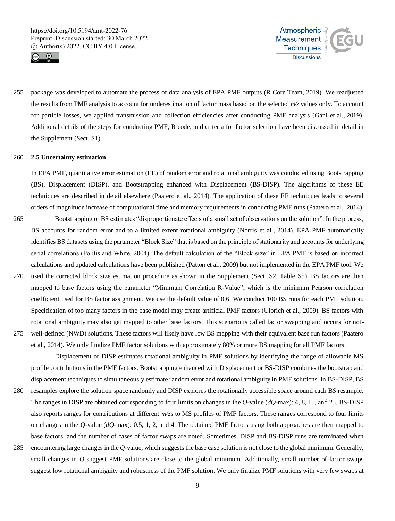



255 package was developed to automate the process of data analysis of EPA PMF outputs (R Core Team, 2019). We readjusted the results from PMF analysis to account for underestimation of factor mass based on the selected *m*∕*z* values only. To account for particle losses, we applied transmission and collection efficiencies after conducting PMF analysis (Gani et al., 2019). Additional details of the steps for conducting PMF, R code, and criteria for factor selection have been discussed in detail in the Supplement (Sect. S1).

#### 260 **2.5 Uncertainty estimation**

In EPA PMF, quantitative error estimation (EE) of random error and rotational ambiguity was conducted using Bootstrapping (BS), Displacement (DISP), and Bootstrapping enhanced with Displacement (BS-DISP). The algorithms of these EE techniques are described in detail elsewhere (Paatero et al., 2014). The application of these EE techniques leads to several orders of magnitude increase of computational time and memory requirements in conducting PMF runs (Paatero et al., 2014).

- 265 Bootstrapping or BS estimates "disproportionate effects of a small set of observations on the solution". In the process, BS accounts for random error and to a limited extent rotational ambiguity (Norris et al., 2014). EPA PMF automatically identifies BS datasets using the parameter "Block Size" that is based on the principle of stationarity and accounts for underlying serial correlations (Politis and White, 2004). The default calculation of the "Block size" in EPA PMF is based on incorrect calculations and updated calculations have been published (Patton et al., 2009) but not implemented in the EPA PMF tool. We 270 used the corrected block size estimation procedure as shown in the Supplement (Sect. S2, Table S5). BS factors are then mapped to base factors using the parameter "Minimum Correlation R-Value", which is the minimum Pearson correlation
- coefficient used for BS factor assignment. We use the default value of 0.6. We conduct 100 BS runs for each PMF solution. Specification of too many factors in the base model may create artificial PMF factors (Ulbrich et al., 2009). BS factors with rotational ambiguity may also get mapped to other base factors. This scenario is called factor swapping and occurs for not-275 well-defined (NWD) solutions. These factors will likely have low BS mapping with their equivalent base run factors (Paatero et al., 2014). We only finalize PMF factor solutions with approximately 80% or more BS mapping for all PMF factors.
	- Displacement or DISP estimates rotational ambiguity in PMF solutions by identifying the range of allowable MS profile contributions in the PMF factors. Bootstrapping enhanced with Displacement or BS-DISP combines the bootstrap and displacement techniques to simultaneously estimate random error and rotational ambiguity in PMF solutions. In BS-DISP, BS
- 280 resamples explore the solution space randomly and DISP explores the rotationally accessible space around each BS resample. The ranges in DISP are obtained corresponding to four limits on changes in the *Q*-value (*dQ*-max): 4, 8, 15, and 25. BS-DISP also reports ranges for contributions at different *m/zs* to MS profiles of PMF factors. These ranges correspond to four limits on changes in the *Q*-value (*dQ*-max): 0.5, 1, 2, and 4. The obtained PMF factors using both approaches are then mapped to base factors, and the number of cases of factor swaps are noted. Sometimes, DISP and BS-DISP runs are terminated when
- 285 encountering large changes in the *Q*-value, which suggests the base case solution is not close to the global minimum. Generally, small changes in *Q* suggest PMF solutions are close to the global minimum. Additionally, small number of factor swaps suggest low rotational ambiguity and robustness of the PMF solution. We only finalize PMF solutions with very few swaps at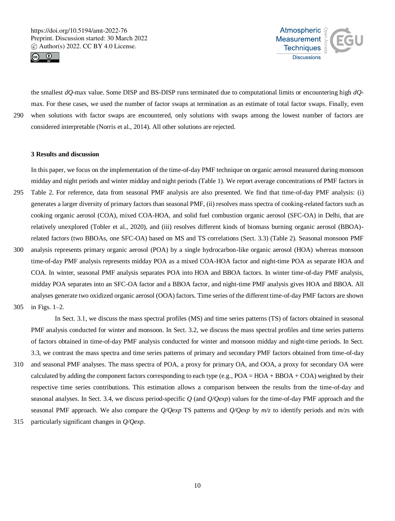



the smallest *dQ*-max value. Some DISP and BS-DISP runs terminated due to computational limits or encountering high *dQ*max. For these cases, we used the number of factor swaps at termination as an estimate of total factor swaps. Finally, even 290 when solutions with factor swaps are encountered, only solutions with swaps among the lowest number of factors are considered interpretable (Norris et al., 2014). All other solutions are rejected.

## **3 Results and discussion**

In this paper, we focus on the implementation of the time-of-day PMF technique on organic aerosol measured during monsoon midday and night periods and winter midday and night periods (Table 1). We report average concentrations of PMF factors in

- 295 Table 2. For reference, data from seasonal PMF analysis are also presented. We find that time-of-day PMF analysis: (i) generates a larger diversity of primary factors than seasonal PMF, (ii) resolves mass spectra of cooking-related factors such as cooking organic aerosol (COA), mixed COA-HOA, and solid fuel combustion organic aerosol (SFC-OA) in Delhi, that are relatively unexplored (Tobler et al., 2020), and (iii) resolves different kinds of biomass burning organic aerosol (BBOA) related factors (two BBOAs, one SFC-OA) based on MS and TS correlations (Sect. 3.3) (Table 2). Seasonal monsoon PMF
- 300 analysis represents primary organic aerosol (POA) by a single hydrocarbon-like organic aerosol (HOA) whereas monsoon time-of-day PMF analysis represents midday POA as a mixed COA-HOA factor and night-time POA as separate HOA and COA. In winter, seasonal PMF analysis separates POA into HOA and BBOA factors. In winter time-of-day PMF analysis, midday POA separates into an SFC-OA factor and a BBOA factor, and night-time PMF analysis gives HOA and BBOA. All analyses generate two oxidized organic aerosol (OOA) factors. Time series of the different time-of-day PMF factors are shown
- 305 in Figs. 1–2.

In Sect. 3.1, we discuss the mass spectral profiles (MS) and time series patterns (TS) of factors obtained in seasonal PMF analysis conducted for winter and monsoon. In Sect. 3.2, we discuss the mass spectral profiles and time series patterns of factors obtained in time-of-day PMF analysis conducted for winter and monsoon midday and night-time periods. In Sect. 3.3, we contrast the mass spectra and time series patterns of primary and secondary PMF factors obtained from time-of-day

- 310 and seasonal PMF analyses. The mass spectra of POA, a proxy for primary OA, and OOA, a proxy for secondary OA were calculated by adding the component factors corresponding to each type (e.g.,  $POA = HOA + BBOA + COA$ ) weighted by their respective time series contributions. This estimation allows a comparison between the results from the time-of-day and seasonal analyses. In Sect. 3.4, we discuss period-specific *Q* (and *Q/Qexp*) values for the time-of-day PMF approach and the seasonal PMF approach. We also compare the *Q/Qexp* TS patterns and *Q/Qexp* by *m/z* to identify periods and *m/z*s with
- 315 particularly significant changes in *Q/Qexp*.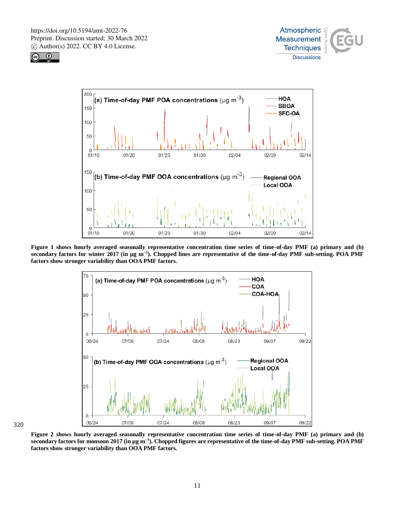





**Figure 1 shows hourly averaged seasonally representative concentration time series of time-of-day PMF (a) primary and (b) secondary factors for winter 2017 (in µg m−3). Chopped lines are representative of the time-of-day PMF sub-setting. POA PMF factors show stronger variability than OOA PMF factors.**



**Figure 2 shows hourly averaged seasonally representative concentration time series of time-of-day PMF (a) primary and (b) secondary factors for monsoon 2017 (in µg m−3). Chopped figures are representative of the time-of-day PMF sub-setting. POA PMF factors show stronger variability than OOA PMF factors.**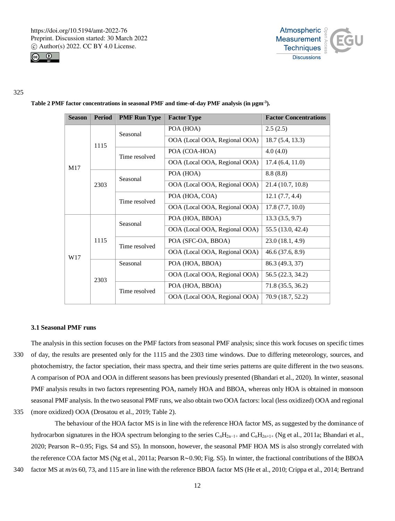



#### 325

|  | <b>Season</b> | <b>Period</b> | <b>PMF Run Type</b> | <b>Factor Type</b>            | <b>Factor Concentrations</b> |  |
|--|---------------|---------------|---------------------|-------------------------------|------------------------------|--|
|  | M17           |               | Seasonal            | POA (HOA)                     | 2.5(2.5)                     |  |
|  |               | 1115          |                     | OOA (Local OOA, Regional OOA) | 18.7(5.4, 13.3)              |  |
|  |               |               | Time resolved       | POA (COA-HOA)                 | 4.0(4.0)                     |  |
|  |               |               |                     | OOA (Local OOA, Regional OOA) | 17.4(6.4, 11.0)              |  |
|  |               | 2303          | Seasonal            | POA (HOA)                     | 8.8(8.8)                     |  |
|  |               |               |                     | OOA (Local OOA, Regional OOA) | 21.4 (10.7, 10.8)            |  |
|  |               |               | Time resolved       | POA (HOA, COA)                | 12.1(7.7, 4.4)               |  |
|  |               |               |                     | OOA (Local OOA, Regional OOA) | 17.8(7.7, 10.0)              |  |
|  | W17           | 1115          | Seasonal            | POA (HOA, BBOA)               | 13.3(3.5, 9.7)               |  |
|  |               |               |                     | OOA (Local OOA, Regional OOA) | 55.5 (13.0, 42.4)            |  |
|  |               |               | Time resolved       | POA (SFC-OA, BBOA)            | 23.0(18.1, 4.9)              |  |
|  |               |               |                     | OOA (Local OOA, Regional OOA) | 46.6(37.6, 8.9)              |  |
|  |               | 2303          | Seasonal            | POA (HOA, BBOA)               | 86.3 (49.3, 37)              |  |
|  |               |               |                     | OOA (Local OOA, Regional OOA) | 56.5 (22.3, 34.2)            |  |
|  |               |               | Time resolved       | POA (HOA, BBOA)               | 71.8 (35.5, 36.2)            |  |
|  |               |               |                     | OOA (Local OOA, Regional OOA) | 70.9 (18.7, 52.2)            |  |

# **Table 2 PMF factor concentrations in seasonal PMF and time-of-day PMF analysis (in µgm-3 ).**

#### **3.1 Seasonal PMF runs**

The analysis in this section focuses on the PMF factors from seasonal PMF analysis; since this work focuses on specific times 330 of day, the results are presented only for the 1115 and the 2303 time windows. Due to differing meteorology, sources, and photochemistry, the factor speciation, their mass spectra, and their time series patterns are quite different in the two seasons. A comparison of POA and OOA in different seasons has been previously presented (Bhandari et al., 2020). In winter, seasonal PMF analysis results in two factors representing POA, namely HOA and BBOA, whereas only HOA is obtained in monsoon seasonal PMF analysis. In the two seasonal PMF runs, we also obtain two OOA factors: local (less oxidized) OOA and regional

335 (more oxidized) OOA (Drosatou et al., 2019; Table 2).

The behaviour of the HOA factor MS is in line with the reference HOA factor MS, as suggested by the dominance of hydrocarbon signatures in the HOA spectrum belonging to the series  $C_nH_{2n-1+}$  and  $C_nH_{2n+1+}$  (Ng et al., 2011a; Bhandari et al., 2020; Pearson R∼0.95; Figs. S4 and S5). In monsoon, however, the seasonal PMF HOA MS is also strongly correlated with the reference COA factor MS (Ng et al., 2011a; Pearson R∼0.90; Fig. S5). In winter, the fractional contributions of the BBOA

340 factor MS at *m/z*s 60, 73, and 115 are in line with the reference BBOA factor MS (He et al., 2010; Crippa et al., 2014; Bertrand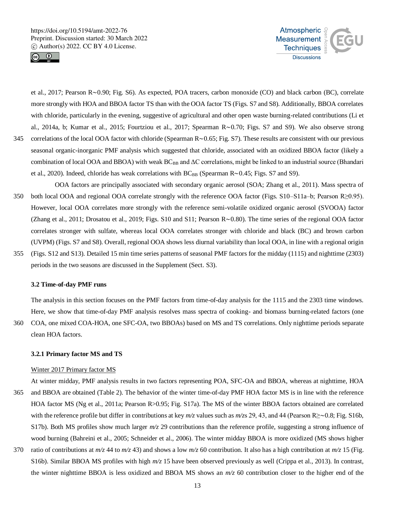



et al., 2017; Pearson R∼0.90; Fig. S6). As expected, POA tracers, carbon monoxide (CO) and black carbon (BC), correlate more strongly with HOA and BBOA factor TS than with the OOA factor TS (Figs. S7 and S8). Additionally, BBOA correlates with chloride, particularly in the evening, suggestive of agricultural and other open waste burning-related contributions (Li et al., 2014a, b; Kumar et al., 2015; Fourtziou et al., 2017; Spearman R∼0.70; Figs. S7 and S9). We also observe strong 345 correlations of the local OOA factor with chloride (Spearman R∼0.65; Fig. S7). These results are consistent with our previous seasonal organic-inorganic PMF analysis which suggested that chloride, associated with an oxidized BBOA factor (likely a combination of local OOA and BBOA) with weak  $BC_{BB}$  and  $\Delta C$  correlations, might be linked to an industrial source (Bhandari et al., 2020). Indeed, chloride has weak correlations with BC<sub>BB</sub> (Spearman R∼0.45; Figs. S7 and S9).

- OOA factors are principally associated with secondary organic aerosol (SOA; Zhang et al., 2011). Mass spectra of 350 both local OOA and regional OOA correlate strongly with the reference OOA factor (Figs. S10–S11a–b; Pearson R≥0.95). However, local OOA correlates more strongly with the reference semi-volatile oxidized organic aerosol (SVOOA) factor (Zhang et al., 2011; Drosatou et al., 2019; Figs. S10 and S11; Pearson R∼0.80). The time series of the regional OOA factor correlates stronger with sulfate, whereas local OOA correlates stronger with chloride and black (BC) and brown carbon (UVPM) (Figs. S7 and S8). Overall, regional OOA shows less diurnal variability than local OOA, in line with a regional origin
- 355 (Figs. S12 and S13). Detailed 15 min time series patterns of seasonal PMF factors for the midday (1115) and nighttime (2303) periods in the two seasons are discussed in the Supplement (Sect. S3).

#### **3.2 Time-of-day PMF runs**

The analysis in this section focuses on the PMF factors from time-of-day analysis for the 1115 and the 2303 time windows. Here, we show that time-of-day PMF analysis resolves mass spectra of cooking- and biomass burning-related factors (one

360 COA, one mixed COA-HOA, one SFC-OA, two BBOAs) based on MS and TS correlations. Only nighttime periods separate clean HOA factors.

## **3.2.1 Primary factor MS and TS**

## Winter 2017 Primary factor MS

- At winter midday, PMF analysis results in two factors representing POA, SFC-OA and BBOA, whereas at nighttime, HOA 365 and BBOA are obtained (Table 2). The behavior of the winter time-of-day PMF HOA factor MS is in line with the reference HOA factor MS (Ng et al., 2011a; Pearson R>0.95; Fig. S17a). The MS of the winter BBOA factors obtained are correlated with the reference profile but differ in contributions at key *m/z* values such as *m/z*s 29, 43, and 44 (Pearson R≥∼0.8; Fig. S16b, S17b). Both MS profiles show much larger  $m/z$  29 contributions than the reference profile, suggesting a strong influence of wood burning (Bahreini et al., 2005; Schneider et al., 2006). The winter midday BBOA is more oxidized (MS shows higher
- 370 ratio of contributions at *m/z* 44 to *m/z* 43) and shows a low *m/z* 60 contribution. It also has a high contribution at *m/z* 15 (Fig. S16b). Similar BBOA MS profiles with high *m/z* 15 have been observed previously as well (Crippa et al., 2013). In contrast, the winter nighttime BBOA is less oxidized and BBOA MS shows an *m/z* 60 contribution closer to the higher end of the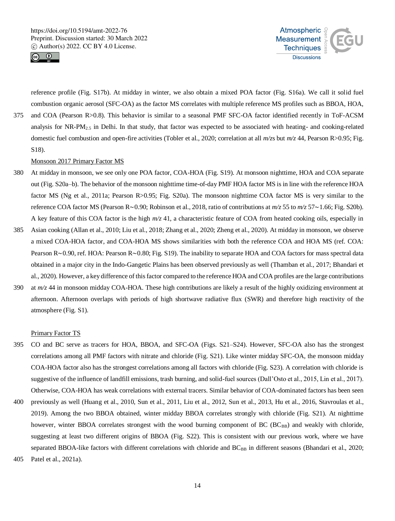



reference profile (Fig. S17b). At midday in winter, we also obtain a mixed POA factor (Fig. S16a). We call it solid fuel combustion organic aerosol (SFC-OA) as the factor MS correlates with multiple reference MS profiles such as BBOA, HOA,

375 and COA (Pearson R>0.8). This behavior is similar to a seasonal PMF SFC-OA factor identified recently in ToF-ACSM analysis for NR-PM2.5 in Delhi. In that study, that factor was expected to be associated with heating- and cooking-related domestic fuel combustion and open-fire activities (Tobler et al., 2020; correlation at all *m/z*s but *m/z* 44, Pearson R>0.95; Fig. S18).

# Monsoon 2017 Primary Factor MS

- 380 At midday in monsoon, we see only one POA factor, COA-HOA (Fig. S19). At monsoon nighttime, HOA and COA separate out (Fig. S20a–b). The behavior of the monsoon nighttime time-of-day PMF HOA factor MS is in line with the reference HOA factor MS (Ng et al., 2011a; Pearson R>0.95; Fig. S20a). The monsoon nighttime COA factor MS is very similar to the reference COA factor MS (Pearson R∼0.90; Robinson et al., 2018, ratio of contributions at *m/z* 55 to *m/z* 57∼1.66; Fig. S20b). A key feature of this COA factor is the high *m/z* 41, a characteristic feature of COA from heated cooking oils, especially in
- 385 Asian cooking (Allan et al., 2010; Liu et al., 2018; Zhang et al., 2020; Zheng et al., 2020). At midday in monsoon, we observe a mixed COA-HOA factor, and COA-HOA MS shows similarities with both the reference COA and HOA MS (ref. COA: Pearson R∼0.90, ref. HOA: Pearson R∼0.80; Fig. S19). The inability to separate HOA and COA factors for mass spectral data obtained in a major city in the Indo-Gangetic Plains has been observed previously as well (Thamban et al., 2017; Bhandari et al., 2020). However, a key difference of this factor compared to the reference HOA and COA profiles are the large contributions
- 390 at *m/z* 44 in monsoon midday COA-HOA. These high contributions are likely a result of the highly oxidizing environment at afternoon. Afternoon overlaps with periods of high shortwave radiative flux (SWR) and therefore high reactivity of the atmosphere (Fig. S1).

## Primary Factor TS

- 395 CO and BC serve as tracers for HOA, BBOA, and SFC-OA (Figs. S21–S24). However, SFC-OA also has the strongest correlations among all PMF factors with nitrate and chloride (Fig. S21). Like winter midday SFC-OA, the monsoon midday COA-HOA factor also has the strongest correlations among all factors with chloride (Fig. S23). A correlation with chloride is suggestive of the influence of landfill emissions, trash burning, and solid-fuel sources (Dall'Osto et al., 2015, Lin et al., 2017). Otherwise, COA-HOA has weak correlations with external tracers. Similar behavior of COA-dominated factors has been seen
- 400 previously as well (Huang et al., 2010, Sun et al., 2011, Liu et al., 2012, Sun et al., 2013, Hu et al., 2016, Stavroulas et al., 2019). Among the two BBOA obtained, winter midday BBOA correlates strongly with chloride (Fig. S21). At nighttime however, winter BBOA correlates strongest with the wood burning component of BC (BC<sub>BB</sub>) and weakly with chloride, suggesting at least two different origins of BBOA (Fig. S22). This is consistent with our previous work, where we have separated BBOA-like factors with different correlations with chloride and  $BC_{BB}$  in different seasons (Bhandari et al., 2020;
- 405 Patel et al., 2021a).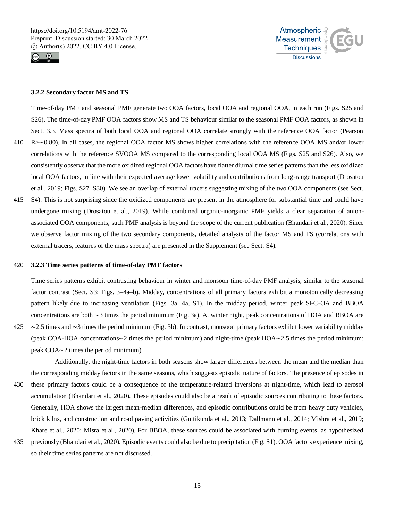



## **3.2.2 Secondary factor MS and TS**

Time-of-day PMF and seasonal PMF generate two OOA factors, local OOA and regional OOA, in each run (Figs. S25 and S26). The time-of-day PMF OOA factors show MS and TS behaviour similar to the seasonal PMF OOA factors, as shown in Sect. 3.3. Mass spectra of both local OOA and regional OOA correlate strongly with the reference OOA factor (Pearson 410 R>∼0.80). In all cases, the regional OOA factor MS shows higher correlations with the reference OOA MS and/or lower correlations with the reference SVOOA MS compared to the corresponding local OOA MS (Figs. S25 and S26). Also, we consistently observe that the more oxidized regional OOA factors have flatter diurnal time series patterns than the less oxidized local OOA factors, in line with their expected average lower volatility and contributions from long-range transport (Drosatou

et al., 2019; Figs. S27–S30). We see an overlap of external tracers suggesting mixing of the two OOA components (see Sect.

415 S4). This is not surprising since the oxidized components are present in the atmosphere for substantial time and could have undergone mixing (Drosatou et al., 2019). While combined organic-inorganic PMF yields a clear separation of anionassociated OOA components, such PMF analysis is beyond the scope of the current publication (Bhandari et al., 2020). Since we observe factor mixing of the two secondary components, detailed analysis of the factor MS and TS (correlations with external tracers, features of the mass spectra) are presented in the Supplement (see Sect. S4).

#### 420 **3.2.3 Time series patterns of time-of-day PMF factors**

Time series patterns exhibit contrasting behaviour in winter and monsoon time-of-day PMF analysis, similar to the seasonal factor contrast (Sect. S3; Figs. 3–4a–b). Midday, concentrations of all primary factors exhibit a monotonically decreasing pattern likely due to increasing ventilation (Figs. 3a, 4a, S1). In the midday period, winter peak SFC-OA and BBOA concentrations are both ∼3 times the period minimum (Fig. 3a). At winter night, peak concentrations of HOA and BBOA are 425 ∼2.5 times and ∼3 times the period minimum (Fig. 3b). In contrast, monsoon primary factors exhibit lower variability midday (peak COA-HOA concentrations∼2 times the period minimum) and night-time (peak HOA∼2.5 times the period minimum; peak COA∼2 times the period minimum).

Additionally, the night-time factors in both seasons show larger differences between the mean and the median than the corresponding midday factors in the same seasons, which suggests episodic nature of factors. The presence of episodes in

- 430 these primary factors could be a consequence of the temperature-related inversions at night-time, which lead to aerosol accumulation (Bhandari et al., 2020). These episodes could also be a result of episodic sources contributing to these factors. Generally, HOA shows the largest mean-median differences, and episodic contributions could be from heavy duty vehicles, brick kilns, and construction and road paving activities (Guttikunda et al., 2013; Dallmann et al., 2014; Mishra et al., 2019; Khare et al., 2020; Misra et al., 2020). For BBOA, these sources could be associated with burning events, as hypothesized
- 435 previously (Bhandari et al., 2020). Episodic events could also be due to precipitation (Fig. S1). OOA factors experience mixing, so their time series patterns are not discussed.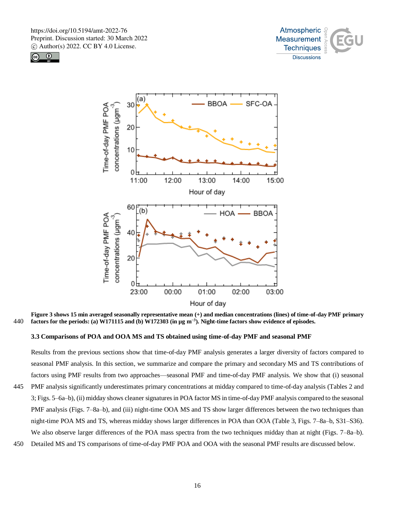





**Figure 3 shows 15 min averaged seasonally representative mean (+) and median concentrations (lines) of time-of-day PMF primary factors for the periods: (a) W171115 and (b) W172303 (in µg m−3** 440 **). Night-time factors show evidence of episodes.**

**3.3 Comparisons of POA and OOA MS and TS obtained using time-of-day PMF and seasonal PMF**

Results from the previous sections show that time-of-day PMF analysis generates a larger diversity of factors compared to seasonal PMF analysis. In this section, we summarize and compare the primary and secondary MS and TS contributions of factors using PMF results from two approaches—seasonal PMF and time-of-day PMF analysis. We show that (i) seasonal 445 PMF analysis significantly underestimates primary concentrations at midday compared to time-of-day analysis (Tables 2 and

- 3; Figs. 5–6a–b), (ii) midday shows cleaner signatures in POA factor MS in time-of-day PMF analysis compared to the seasonal PMF analysis (Figs. 7–8a–b), and (iii) night-time OOA MS and TS show larger differences between the two techniques than night-time POA MS and TS, whereas midday shows larger differences in POA than OOA (Table 3, Figs. 7–8a–b, S31–S36). We also observe larger differences of the POA mass spectra from the two techniques midday than at night (Figs. 7–8a–b).
- 450 Detailed MS and TS comparisons of time-of-day PMF POA and OOA with the seasonal PMF results are discussed below.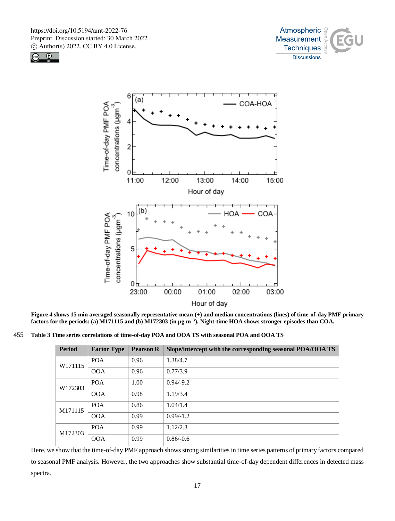





**Figure 4 shows 15 min averaged seasonally representative mean (+) and median concentrations (lines) of time-of-day PMF primary factors for the periods: (a) M171115 and (b) M172303 (in µg m−3). Night-time HOA shows stronger episodes than COA.**

455 **Table 3 Time series correlations of time-of-day POA and OOA TS with seasonal POA and OOA TS**

| <b>Period</b> | <b>Factor Type</b> | <b>Pearson R</b> | Slope/intercept with the corresponding seasonal POA/OOA TS |
|---------------|--------------------|------------------|------------------------------------------------------------|
| W171115       | <b>POA</b>         | 0.96             | 1.38/4.7                                                   |
|               | <b>OOA</b>         | 0.96             | 0.77/3.9                                                   |
| W172303       | <b>POA</b>         | 1.00             | $0.94/-9.2$                                                |
|               | <b>OOA</b>         | 0.98             | 1.19/3.4                                                   |
| M171115       | <b>POA</b>         | 0.86             | 1.04/1.4                                                   |
|               | <b>OOA</b>         | 0.99             | $0.99/-1.2$                                                |
| M172303       | <b>POA</b>         | 0.99             | 1.12/2.3                                                   |
|               | <b>OOA</b>         | 0.99             | $0.86/-0.6$                                                |

Here, we show that the time-of-day PMF approach shows strong similarities in time series patterns of primary factors compared to seasonal PMF analysis. However, the two approaches show substantial time-of-day dependent differences in detected mass spectra.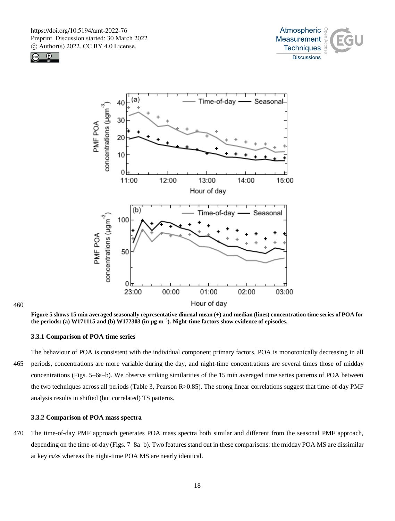





460

**Figure 5 shows 15 min averaged seasonally representative diurnal mean (+) and median (lines) concentration time series of POA for the periods: (a) W171115 and (b) W172303 (in µg m−3). Night-time factors show evidence of episodes.**

# **3.3.1 Comparison of POA time series**

The behaviour of POA is consistent with the individual component primary factors. POA is monotonically decreasing in all 465 periods, concentrations are more variable during the day, and night-time concentrations are several times those of midday concentrations (Figs. 5–6a–b). We observe striking similarities of the 15 min averaged time series patterns of POA between the two techniques across all periods (Table 3, Pearson R>0.85). The strong linear correlations suggest that time-of-day PMF analysis results in shifted (but correlated) TS patterns.

#### **3.3.2 Comparison of POA mass spectra**

470 The time-of-day PMF approach generates POA mass spectra both similar and different from the seasonal PMF approach, depending on the time-of-day (Figs. 7–8a–b). Two features stand out in these comparisons: the midday POA MS are dissimilar at key *m/z*s whereas the night-time POA MS are nearly identical.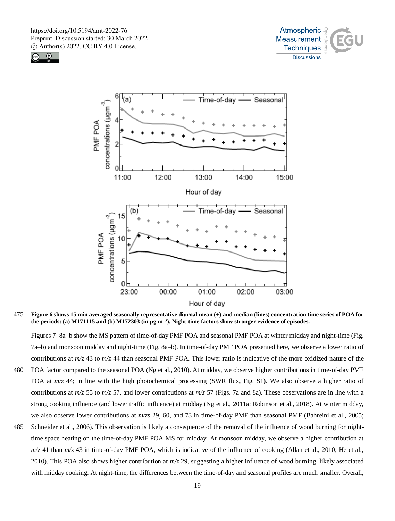





475 **Figure 6 shows 15 min averaged seasonally representative diurnal mean (+) and median (lines) concentration time series of POA for the periods: (a) M171115 and (b) M172303 (in µg m−3). Night-time factors show stronger evidence of episodes.**

Figures 7–8a–b show the MS pattern of time-of-day PMF POA and seasonal PMF POA at winter midday and night-time (Fig. 7a–b) and monsoon midday and night-time (Fig. 8a–b). In time-of-day PMF POA presented here, we observe a lower ratio of contributions at *m/z* 43 to *m/z* 44 than seasonal PMF POA. This lower ratio is indicative of the more oxidized nature of the

- 480 POA factor compared to the seasonal POA (Ng et al., 2010). At midday, we observe higher contributions in time-of-day PMF POA at  $m/z$  44; in line with the high photochemical processing (SWR flux, Fig. S1). We also observe a higher ratio of contributions at  $m/z$  55 to  $m/z$  57, and lower contributions at  $m/z$  57 (Figs. 7a and 8a). These observations are in line with a strong cooking influence (and lower traffic influence) at midday (Ng et al., 2011a; Robinson et al., 2018). At winter midday, we also observe lower contributions at *m/z*s 29, 60, and 73 in time-of-day PMF than seasonal PMF (Bahreini et al., 2005;
- 485 Schneider et al., 2006). This observation is likely a consequence of the removal of the influence of wood burning for nighttime space heating on the time-of-day PMF POA MS for midday. At monsoon midday, we observe a higher contribution at  $m/z$  41 than  $m/z$  43 in time-of-day PMF POA, which is indicative of the influence of cooking (Allan et al., 2010; He et al., 2010). This POA also shows higher contribution at *m/z* 29, suggesting a higher influence of wood burning, likely associated with midday cooking. At night-time, the differences between the time-of-day and seasonal profiles are much smaller. Overall,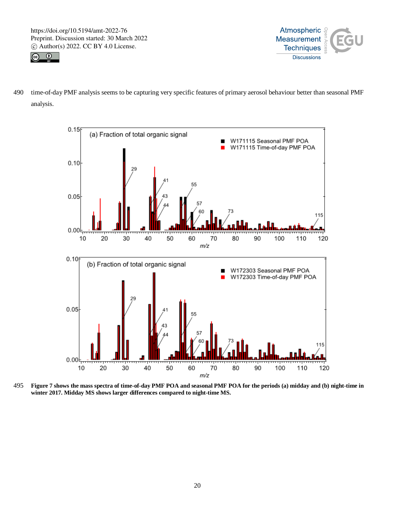



490 time-of-day PMF analysis seems to be capturing very specific features of primary aerosol behaviour better than seasonal PMF analysis.



495 **Figure 7 shows the mass spectra of time-of-day PMF POA and seasonal PMF POA for the periods (a) midday and (b) night-time in winter 2017. Midday MS shows larger differences compared to night-time MS.**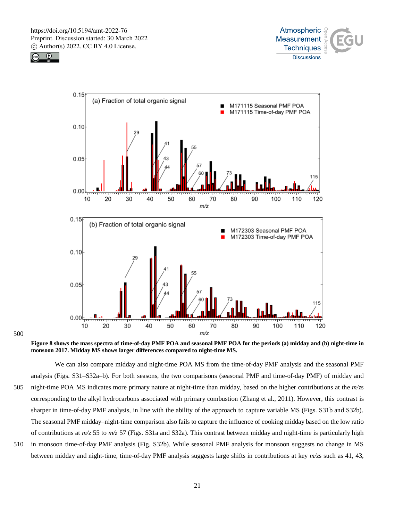





500

**Figure 8 shows the mass spectra of time-of-day PMF POA and seasonal PMF POA for the periods (a) midday and (b) night-time in monsoon 2017. Midday MS shows larger differences compared to night-time MS.**

We can also compare midday and night-time POA MS from the time-of-day PMF analysis and the seasonal PMF analysis (Figs. S31–S32a–b). For both seasons, the two comparisons (seasonal PMF and time-of-day PMF) of midday and 505 night-time POA MS indicates more primary nature at night-time than midday, based on the higher contributions at the *m/z*s corresponding to the alkyl hydrocarbons associated with primary combustion (Zhang et al., 2011). However, this contrast is sharper in time-of-day PMF analysis, in line with the ability of the approach to capture variable MS (Figs. S31b and S32b). The seasonal PMF midday–night-time comparison also fails to capture the influence of cooking midday based on the low ratio of contributions at *m/z* 55 to *m/z* 57 (Figs. S31a and S32a). This contrast between midday and night-time is particularly high 510 in monsoon time-of-day PMF analysis (Fig. S32b). While seasonal PMF analysis for monsoon suggests no change in MS

between midday and night-time, time-of-day PMF analysis suggests large shifts in contributions at key *m/z*s such as 41, 43,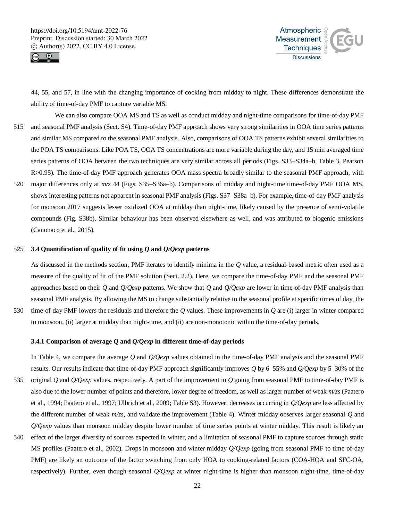![](_page_21_Picture_1.jpeg)

![](_page_21_Picture_2.jpeg)

44, 55, and 57, in line with the changing importance of cooking from midday to night. These differences demonstrate the ability of time-of-day PMF to capture variable MS.

- We can also compare OOA MS and TS as well as conduct midday and night-time comparisons for time-of-day PMF 515 and seasonal PMF analysis (Sect. S4). Time-of-day PMF approach shows very strong similarities in OOA time series patterns and similar MS compared to the seasonal PMF analysis. Also, comparisons of OOA TS patterns exhibit several similarities to the POA TS comparisons. Like POA TS, OOA TS concentrations are more variable during the day, and 15 min averaged time series patterns of OOA between the two techniques are very similar across all periods (Figs. S33–S34a–b, Table 3, Pearson R>0.95). The time-of-day PMF approach generates OOA mass spectra broadly similar to the seasonal PMF approach, with
- 520 major differences only at *m/z* 44 (Figs. S35–S36a–b). Comparisons of midday and night-time time-of-day PMF OOA MS, shows interesting patterns not apparent in seasonal PMF analysis (Figs. S37–S38a–b). For example, time-of-day PMF analysis for monsoon 2017 suggests lesser oxidized OOA at midday than night-time, likely caused by the presence of semi-volatile compounds (Fig. S38b). Similar behaviour has been observed elsewhere as well, and was attributed to biogenic emissions (Canonaco et al., 2015).

# 525 **3.4 Quantification of quality of fit using** *Q* **and** *Q/Qexp* **patterns**

As discussed in the methods section, PMF iterates to identify minima in the *Q* value, a residual-based metric often used as a measure of the quality of fit of the PMF solution (Sect. 2.2). Here, we compare the time-of-day PMF and the seasonal PMF approaches based on their *Q* and *Q/Qexp* patterns. We show that *Q* and *Q/Qexp* are lower in time-of-day PMF analysis than seasonal PMF analysis. By allowing the MS to change substantially relative to the seasonal profile at specific times of day, the 530 time-of-day PMF lowers the residuals and therefore the *Q* values. These improvements in *Q* are (i) larger in winter compared

to monsoon, (ii) larger at midday than night-time, and (ii) are non-monotonic within the time-of-day periods.

#### **3.4.1 Comparison of average** *Q* **and** *Q/Qexp* **in different time-of-day periods**

- In Table 4, we compare the average *Q* and *Q/Qexp* values obtained in the time-of-day PMF analysis and the seasonal PMF results. Our results indicate that time-of-day PMF approach significantly improves *Q* by 6–55% and *Q/Qexp* by 5–30% of the 535 original *Q* and *Q/Qexp* values, respectively. A part of the improvement in *Q* going from seasonal PMF to time-of-day PMF is also due to the lower number of points and therefore, lower degree of freedom, as well as larger number of weak *m/zs* (Paatero et al., 1994; Paatero et al., 1997; Ulbrich et al., 2009; Table S3). However, decreases occurring in *Q/Qexp* are less affected by the different number of weak *m/zs*, and validate the improvement (Table 4). Winter midday observes larger seasonal *Q* and *Q/Qexp* values than monsoon midday despite lower number of time series points at winter midday. This result is likely an
- 540 effect of the larger diversity of sources expected in winter, and a limitation of seasonal PMF to capture sources through static MS profiles (Paatero et al., 2002). Drops in monsoon and winter midday *Q/Qexp* (going from seasonal PMF to time-of-day PMF) are likely an outcome of the factor switching from only HOA to cooking-related factors (COA-HOA and SFC-OA, respectively). Further, even though seasonal *Q/Qexp* at winter night-time is higher than monsoon night-time, time-of-day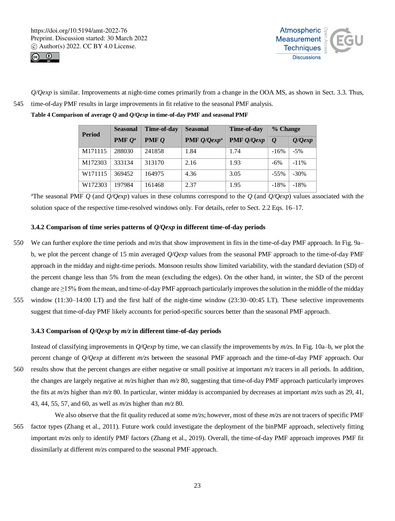![](_page_22_Picture_1.jpeg)

![](_page_22_Picture_2.jpeg)

*Q/Qexp* is similar. Improvements at night-time comes primarily from a change in the OOA MS, as shown in Sect. 3.3. Thus, 545 time-of-day PMF results in large improvements in fit relative to the seasonal PMF analysis.

**Table 4 Comparison of average** *Q* **and** *Q/Qexp* **in time-of-day PMF and seasonal PMF**

| <b>Period</b> | <b>Seasonal</b>  | Time-of-day    | <b>Seasonal</b>       | Time-of-day  | % Change         |           |
|---------------|------------------|----------------|-----------------------|--------------|------------------|-----------|
|               | <b>PMF</b> $O^a$ | <b>PMF</b> $Q$ | <b>PMF</b> $Q/Qexp^a$ | $PMF$ Q/Qexp | $\boldsymbol{o}$ | $Q/Q$ exp |
| M171115       | 288030           | 241858         | 1.84                  | 1.74         | $-16%$           | $-5%$     |
| M172303       | 333134           | 313170         | 2.16                  | 1.93         | $-6\%$           | $-11\%$   |
| W171115       | 369452           | 164975         | 4.36                  | 3.05         | $-55\%$          | $-30%$    |
| W172303       | 197984           | 161468         | 2.37                  | 1.95         | $-18%$           | $-18%$    |

<sup>a</sup>The seasonal PMF  $Q$  (and  $Q/Q$ exp) values in these columns correspond to the  $Q$  (and  $Q/Q$ exp) values associated with the solution space of the respective time-resolved windows only. For details, refer to Sect. 2.2 Eqs. 16–17.

# **3.4.2 Comparison of time series patterns of** *Q/Qexp* **in different time-of-day periods**

- 550 We can further explore the time periods and *m/z*s that show improvement in fits in the time-of-day PMF approach. In Fig. 9a– b, we plot the percent change of 15 min averaged *Q/Qexp* values from the seasonal PMF approach to the time-of-day PMF approach in the midday and night-time periods. Monsoon results show limited variability, with the standard deviation (SD) of the percent change less than 5% from the mean (excluding the edges). On the other hand, in winter, the SD of the percent change are  $\geq$ 15% from the mean, and time-of-day PMF approach particularly improves the solution in the middle of the midday 555 window (11:30–14:00 LT) and the first half of the night-time window (23:30–00:45 LT). These selective improvements
- suggest that time-of-day PMF likely accounts for period-specific sources better than the seasonal PMF approach.

# **3.4.3 Comparison of** *Q/Qexp* **by** *m/z* **in different time-of-day periods**

Instead of classifying improvements in *Q/Qexp* by time, we can classify the improvements by *m/z*s. In Fig. 10a–b, we plot the percent change of *Q/Qexp* at different *m/z*s between the seasonal PMF approach and the time-of-day PMF approach. Our 560 results show that the percent changes are either negative or small positive at important *m/z* tracers in all periods. In addition, the changes are largely negative at *m/z*s higher than *m/z* 80, suggesting that time-of-day PMF approach particularly improves the fits at *m/z*s higher than *m/z* 80. In particular, winter midday is accompanied by decreases at important *m/z*s such as 29, 41, 43, 44, 55, 57, and 60, as well as *m/z*s higher than *m/z* 80.

We also observe that the fit quality reduced at some  $m/z$ s; however, most of these  $m/z$ s are not tracers of specific PMF 565 factor types (Zhang et al., 2011). Future work could investigate the deployment of the binPMF approach, selectively fitting important *m/z*s only to identify PMF factors (Zhang et al., 2019). Overall, the time-of-day PMF approach improves PMF fit dissimilarly at different *m/z*s compared to the seasonal PMF approach.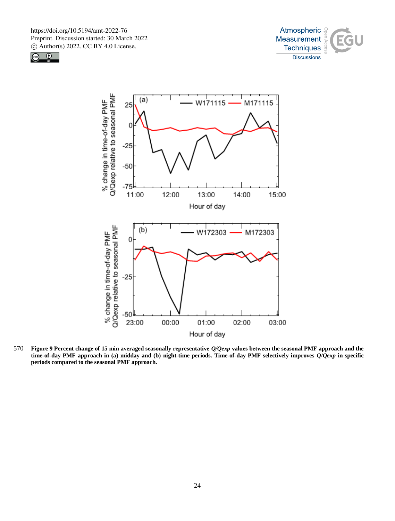![](_page_23_Picture_1.jpeg)

![](_page_23_Picture_2.jpeg)

![](_page_23_Figure_3.jpeg)

570 **Figure 9 Percent change of 15 min averaged seasonally representative** *Q/Qexp* **values between the seasonal PMF approach and the time-of-day PMF approach in (a) midday and (b) night-time periods. Time-of-day PMF selectively improves** *Q/Qexp* **in specific periods compared to the seasonal PMF approach.**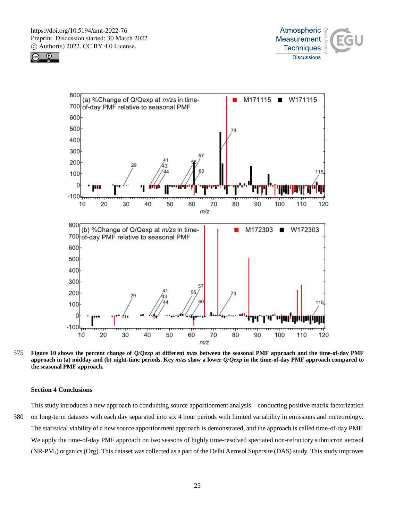![](_page_24_Picture_1.jpeg)

![](_page_24_Picture_2.jpeg)

![](_page_24_Figure_3.jpeg)

575 **Figure 10 shows the percent change of** *Q/Qexp* **at different** *m/z***s between the seasonal PMF approach and the time-of-day PMF approach in (a) midday and (b) night-time periods. Key** *m/z***s show a lower** *Q/Qexp* **in the time-of-day PMF approach compared to the seasonal PMF approach.**

# **Section 4 Conclusions**

This study introduces a new approach to conducting source apportionment analysis––conducting positive matrix factorization 580 on long-term datasets with each day separated into six 4 hour periods with limited variability in emissions and meteorology. The statistical viability of a new source apportionment approach is demonstrated, and the approach is called time-of-day PMF. We apply the time-of-day PMF approach on two seasons of highly time-resolved speciated non-refractory submicron aerosol (NR-PM1) organics (Org). This dataset was collected as a part of the Delhi Aerosol Supersite (DAS) study. This study improves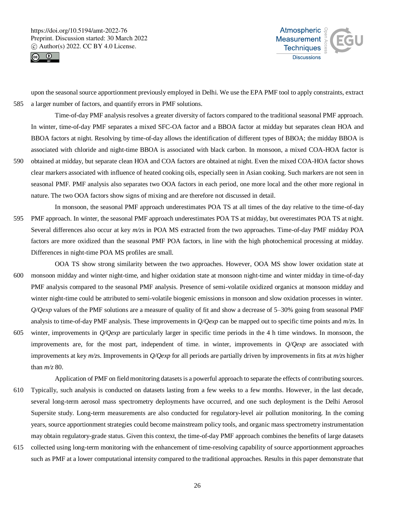![](_page_25_Picture_1.jpeg)

![](_page_25_Picture_2.jpeg)

upon the seasonal source apportionment previously employed in Delhi. We use the EPA PMF tool to apply constraints, extract 585 a larger number of factors, and quantify errors in PMF solutions.

Time-of-day PMF analysis resolves a greater diversity of factors compared to the traditional seasonal PMF approach. In winter, time-of-day PMF separates a mixed SFC-OA factor and a BBOA factor at midday but separates clean HOA and BBOA factors at night. Resolving by time-of-day allows the identification of different types of BBOA; the midday BBOA is associated with chloride and night-time BBOA is associated with black carbon. In monsoon, a mixed COA-HOA factor is 590 obtained at midday, but separate clean HOA and COA factors are obtained at night. Even the mixed COA-HOA factor shows clear markers associated with influence of heated cooking oils, especially seen in Asian cooking. Such markers are not seen in seasonal PMF. PMF analysis also separates two OOA factors in each period, one more local and the other more regional in

In monsoon, the seasonal PMF approach underestimates POA TS at all times of the day relative to the time-of-day 595 PMF approach. In winter, the seasonal PMF approach underestimates POA TS at midday, but overestimates POA TS at night. Several differences also occur at key *m/z*s in POA MS extracted from the two approaches. Time-of-day PMF midday POA factors are more oxidized than the seasonal PMF POA factors, in line with the high photochemical processing at midday. Differences in night-time POA MS profiles are small.

nature. The two OOA factors show signs of mixing and are therefore not discussed in detail.

OOA TS show strong similarity between the two approaches. However, OOA MS show lower oxidation state at 600 monsoon midday and winter night-time, and higher oxidation state at monsoon night-time and winter midday in time-of-day PMF analysis compared to the seasonal PMF analysis. Presence of semi-volatile oxidized organics at monsoon midday and winter night-time could be attributed to semi-volatile biogenic emissions in monsoon and slow oxidation processes in winter. *Q/Qexp* values of the PMF solutions are a measure of quality of fit and show a decrease of 5–30% going from seasonal PMF analysis to time-of-day PMF analysis. These improvements in *Q/Qexp* can be mapped out to specific time points and *m/z*s. In 605 winter, improvements in *Q/Qexp* are particularly larger in specific time periods in the 4 h time windows. In monsoon, the

- improvements are, for the most part, independent of time. in winter, improvements in *Q/Qexp* are associated with improvements at key *m/z*s. Improvements in *Q/Qexp* for all periods are partially driven by improvements in fits at *m/z*s higher than *m/z* 80.
- Application of PMF on field monitoring datasets is a powerful approach to separate the effects of contributing sources. 610 Typically, such analysis is conducted on datasets lasting from a few weeks to a few months. However, in the last decade, several long-term aerosol mass spectrometry deployments have occurred, and one such deployment is the Delhi Aerosol Supersite study. Long-term measurements are also conducted for regulatory-level air pollution monitoring. In the coming years, source apportionment strategies could become mainstream policy tools, and organic mass spectrometry instrumentation may obtain regulatory-grade status. Given this context, the time-of-day PMF approach combines the benefits of large datasets
- 615 collected using long-term monitoring with the enhancement of time-resolving capability of source apportionment approaches such as PMF at a lower computational intensity compared to the traditional approaches. Results in this paper demonstrate that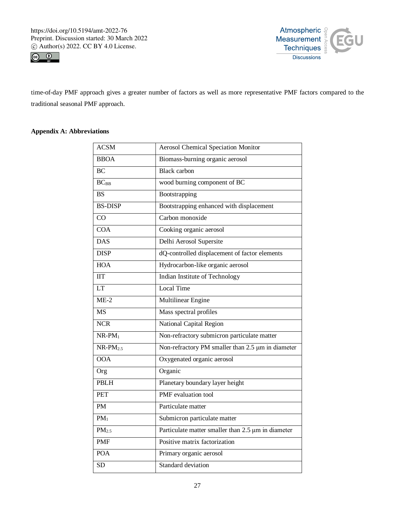![](_page_26_Picture_1.jpeg)

![](_page_26_Picture_2.jpeg)

time-of-day PMF approach gives a greater number of factors as well as more representative PMF factors compared to the traditional seasonal PMF approach.

# **Appendix A: Abbreviations**

| <b>ACSM</b>       | <b>Aerosol Chemical Speciation Monitor</b>         |
|-------------------|----------------------------------------------------|
| <b>BBOA</b>       | Biomass-burning organic aerosol                    |
| <b>BC</b>         | <b>Black</b> carbon                                |
| $BC_{BB}$         | wood burning component of BC                       |
| <b>BS</b>         | Bootstrapping                                      |
| <b>BS-DISP</b>    | Bootstrapping enhanced with displacement           |
| CO                | Carbon monoxide                                    |
| <b>COA</b>        | Cooking organic aerosol                            |
| <b>DAS</b>        | Delhi Aerosol Supersite                            |
| <b>DISP</b>       | dQ-controlled displacement of factor elements      |
| <b>HOA</b>        | Hydrocarbon-like organic aerosol                   |
| <b>IIT</b>        | Indian Institute of Technology                     |
| <b>LT</b>         | Local Time                                         |
| $ME-2$            | Multilinear Engine                                 |
|                   |                                                    |
| <b>MS</b>         | Mass spectral profiles                             |
| <b>NCR</b>        | National Capital Region                            |
| $NR$ - $PM_1$     | Non-refractory submicron particulate matter        |
| $NR$ - $PM_{2.5}$ | Non-refractory PM smaller than 2.5 µm in diameter  |
| <b>OOA</b>        | Oxygenated organic aerosol                         |
| Org               | Organic                                            |
| <b>PBLH</b>       | Planetary boundary layer height                    |
| <b>PET</b>        | PMF evaluation tool                                |
| <b>PM</b>         | Particulate matter                                 |
| $PM_1$            | Submicron particulate matter                       |
| PM <sub>2.5</sub> | Particulate matter smaller than 2.5 µm in diameter |
| <b>PMF</b>        | Positive matrix factorization                      |
| <b>POA</b>        | Primary organic aerosol                            |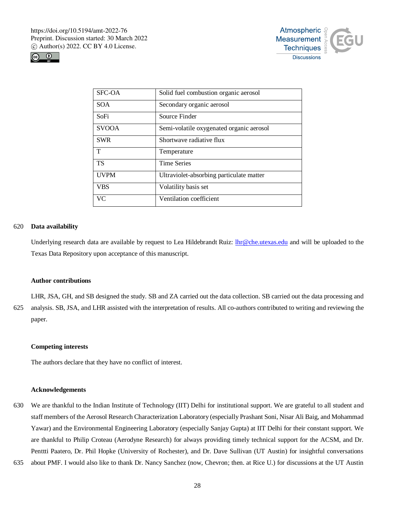![](_page_27_Picture_1.jpeg)

![](_page_27_Picture_2.jpeg)

| SFC-OA       | Solid fuel combustion organic aerosol    |
|--------------|------------------------------------------|
| SOA.         | Secondary organic aerosol                |
| SoFi         | Source Finder                            |
| <b>SVOOA</b> | Semi-volatile oxygenated organic aerosol |
| <b>SWR</b>   | Shortwave radiative flux                 |
| T            | Temperature                              |
| <b>TS</b>    | <b>Time Series</b>                       |
| <b>UVPM</b>  | Ultraviolet-absorbing particulate matter |
| <b>VBS</b>   | Volatility basis set                     |
| <b>VC</b>    | Ventilation coefficient                  |

# 620 **Data availability**

Underlying research data are available by request to Lea Hildebrandt Ruiz: lhr@che.utexas.edu and will be uploaded to the Texas Data Repository upon acceptance of this manuscript.

#### **Author contributions**

LHR, JSA, GH, and SB designed the study. SB and ZA carried out the data collection. SB carried out the data processing and 625 analysis. SB, JSA, and LHR assisted with the interpretation of results. All co-authors contributed to writing and reviewing the paper.

#### **Competing interests**

The authors declare that they have no conflict of interest.

## **Acknowledgements**

- 630 We are thankful to the Indian Institute of Technology (IIT) Delhi for institutional support. We are grateful to all student and staff members of the Aerosol Research Characterization Laboratory (especially Prashant Soni, Nisar Ali Baig, and Mohammad Yawar) and the Environmental Engineering Laboratory (especially Sanjay Gupta) at IIT Delhi for their constant support. We are thankful to Philip Croteau (Aerodyne Research) for always providing timely technical support for the ACSM, and Dr. Penttti Paatero, Dr. Phil Hopke (University of Rochester), and Dr. Dave Sullivan (UT Austin) for insightful conversations
- 635 about PMF. I would also like to thank Dr. Nancy Sanchez (now, Chevron; then. at Rice U.) for discussions at the UT Austin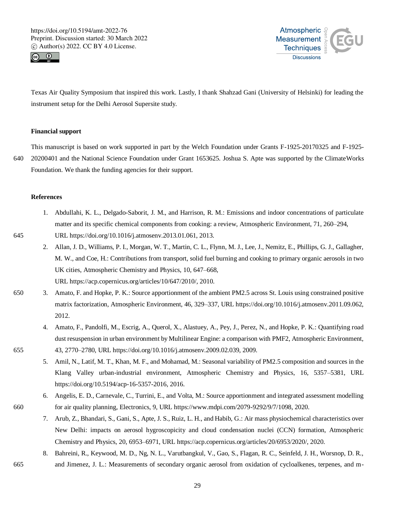![](_page_28_Picture_1.jpeg)

![](_page_28_Picture_2.jpeg)

Texas Air Quality Symposium that inspired this work. Lastly, I thank Shahzad Gani (University of Helsinki) for leading the instrument setup for the Delhi Aerosol Supersite study.

# **Financial support**

This manuscript is based on work supported in part by the Welch Foundation under Grants F-1925-20170325 and F-1925- 640 20200401 and the National Science Foundation under Grant 1653625. Joshua S. Apte was supported by the ClimateWorks Foundation. We thank the funding agencies for their support.

#### **References**

- 1. Abdullahi, K. L., Delgado-Saborit, J. M., and Harrison, R. M.: Emissions and indoor concentrations of particulate matter and its specific chemical components from cooking: a review, Atmospheric Environment, 71, 260–294, 645 URL https://doi.org/10.1016/j.atmosenv.2013.01.061, 2013.
	- 2. Allan, J. D., Williams, P. I., Morgan, W. T., Martin, C. L., Flynn, M. J., Lee, J., Nemitz, E., Phillips, G. J., Gallagher, M. W., and Coe, H.: Contributions from transport, solid fuel burning and cooking to primary organic aerosols in two UK cities, Atmospheric Chemistry and Physics, 10, 647–668, URL https://acp.copernicus.org/articles/10/647/2010/, 2010.
- 650 3. Amato, F. and Hopke, P. K.: Source apportionment of the ambient PM2.5 across St. Louis using constrained positive matrix factorization, Atmospheric Environment, 46, 329–337, URL https://doi.org/10.1016/j.atmosenv.2011.09.062, 2012.
- 4. Amato, F., Pandolfi, M., Escrig, A., Querol, X., Alastuey, A., Pey, J., Perez, N., and Hopke, P. K.: Quantifying road dust resuspension in urban environment by Multilinear Engine: a comparison with PMF2, Atmospheric Environment, 655 43, 2770–2780, URL https://doi.org/10.1016/j.atmosenv.2009.02.039, 2009.
	- 5. Amil, N., Latif, M. T., Khan, M. F., and Mohamad, M.: Seasonal variability of PM2.5 composition and sources in the Klang Valley urban-industrial environment, Atmospheric Chemistry and Physics, 16, 5357–5381, URL https://doi.org/10.5194/acp-16-5357-2016, 2016.
- 6. Angelis, E. D., Carnevale, C., Turrini, E., and Volta, M.: Source apportionment and integrated assessment modelling 660 for air quality planning, Electronics, 9, URL https://www.mdpi.com/2079-9292/9/7/1098, 2020.
	- 7. Arub, Z., Bhandari, S., Gani, S., Apte, J. S., Ruiz, L. H., and Habib, G.: Air mass physiochemical characteristics over New Delhi: impacts on aerosol hygroscopicity and cloud condensation nuclei (CCN) formation, Atmospheric Chemistry and Physics, 20, 6953–6971, URL https://acp.copernicus.org/articles/20/6953/2020/, 2020.
- 8. Bahreini, R., Keywood, M. D., Ng, N. L., Varutbangkul, V., Gao, S., Flagan, R. C., Seinfeld, J. H., Worsnop, D. R., 665 and Jimenez, J. L.: Measurements of secondary organic aerosol from oxidation of cycloalkenes, terpenes, and m-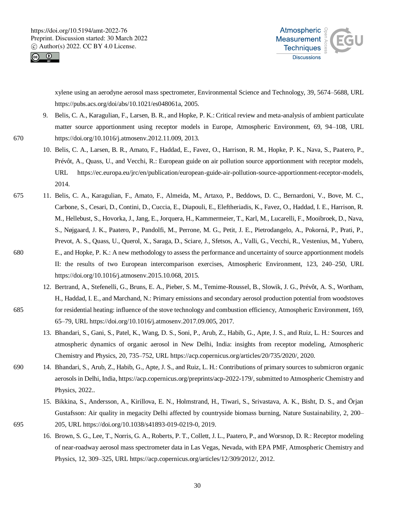![](_page_29_Picture_1.jpeg)

![](_page_29_Picture_2.jpeg)

xylene using an aerodyne aerosol mass spectrometer, Environmental Science and Technology, 39, 5674–5688, URL https://pubs.acs.org/doi/abs/10.1021/es048061a, 2005.

- 9. Belis, C. A., Karagulian, F., Larsen, B. R., and Hopke, P. K.: Critical review and meta-analysis of ambient particulate matter source apportionment using receptor models in Europe, Atmospheric Environment, 69, 94–108, URL 670 https://doi.org/10.1016/j.atmosenv.2012.11.009, 2013.
	- 10. Belis, C. A., Larsen, B. R., Amato, F., Haddad, E., Favez, O., Harrison, R. M., Hopke, P. K., Nava, S., Paatero, P., Prévôt, A., Quass, U., and Vecchi, R.: European guide on air pollution source apportionment with receptor models, URL https://ec.europa.eu/jrc/en/publication/european-guide-air-pollution-source-apportionment-receptor-models, 2014.
- 675 11. Belis, C. A., Karagulian, F., Amato, F., Almeida, M., Artaxo, P., Beddows, D. C., Bernardoni, V., Bove, M. C., Carbone, S., Cesari, D., Contini, D., Cuccia, E., Diapouli, E., Eleftheriadis, K., Favez, O., Haddad, I. E., Harrison, R. M., Hellebust, S., Hovorka, J., Jang, E., Jorquera, H., Kammermeier, T., Karl, M., Lucarelli, F., Mooibroek, D., Nava, S., Nøjgaard, J. K., Paatero, P., Pandolfi, M., Perrone, M. G., Petit, J. E., Pietrodangelo, A., Pokorná, P., Prati, P., Prevot, A. S., Quass, U., Querol, X., Saraga, D., Sciare, J., Sfetsos, A., Valli, G., Vecchi, R., Vestenius, M., Yubero, 680 E., and Hopke, P. K.: A new methodology to assess the performance and uncertainty of source apportionment models II: the results of two European intercomparison exercises, Atmospheric Environment, 123, 240–250, URL https://doi.org/10.1016/j.atmosenv.2015.10.068, 2015.
- 12. Bertrand, A., Stefenelli, G., Bruns, E. A., Pieber, S. M., Temime-Roussel, B., Slowik, J. G., Prévôt, A. S., Wortham, H., Haddad, I. E., and Marchand, N.: Primary emissions and secondary aerosol production potential from woodstoves 685 for residential heating: influence of the stove technology and combustion efficiency, Atmospheric Environment, 169, 65–79, URL https://doi.org/10.1016/j.atmosenv.2017.09.005, 2017.
	- 13. Bhandari, S., Gani, S., Patel, K., Wang, D. S., Soni, P., Arub, Z., Habib, G., Apte, J. S., and Ruiz, L. H.: Sources and atmospheric dynamics of organic aerosol in New Delhi, India: insights from receptor modeling, Atmospheric Chemistry and Physics, 20, 735–752, URL https://acp.copernicus.org/articles/20/735/2020/, 2020.
- 690 14. Bhandari, S., Arub, Z., Habib, G., Apte, J. S., and Ruiz, L. H.: Contributions of primary sources to submicron organic aerosols in Delhi, India, https://acp.copernicus.org/preprints/acp-2022-179/, submitted to Atmospheric Chemistry and Physics, 2022..
- 15. Bikkina, S., Andersson, A., Kirillova, E. N., Holmstrand, H., Tiwari, S., Srivastava, A. K., Bisht, D. S., and Örjan Gustafsson: Air quality in megacity Delhi affected by countryside biomass burning, Nature Sustainability, 2, 200– 695 205, URL https://doi.org/10.1038/s41893-019-0219-0, 2019.
	- 16. Brown, S. G., Lee, T., Norris, G. A., Roberts, P. T., Collett, J. L., Paatero, P., and Worsnop, D. R.: Receptor modeling of near-roadway aerosol mass spectrometer data in Las Vegas, Nevada, with EPA PMF, Atmospheric Chemistry and Physics, 12, 309–325, URL https://acp.copernicus.org/articles/12/309/2012/, 2012.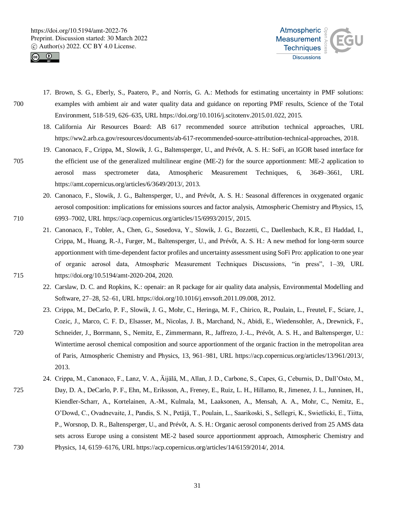![](_page_30_Picture_1.jpeg)

![](_page_30_Picture_2.jpeg)

- 17. Brown, S. G., Eberly, S., Paatero, P., and Norris, G. A.: Methods for estimating uncertainty in PMF solutions: 700 examples with ambient air and water quality data and guidance on reporting PMF results, Science of the Total Environment, 518-519, 626–635, URL https://doi.org/10.1016/j.scitotenv.2015.01.022, 2015.
	- 18. California Air Resources Board: AB 617 recommended source attribution technical approaches, URL https://ww2.arb.ca.gov/resources/documents/ab-617-recommended-source-attribution-technical-approaches, 2018.
- 19. Canonaco, F., Crippa, M., Slowik, J. G., Baltensperger, U., and Prévôt, A. S. H.: SoFi, an IGOR based interface for 705 the efficient use of the generalized multilinear engine (ME-2) for the source apportionment: ME-2 application to aerosol mass spectrometer data, Atmospheric Measurement Techniques, 6, 3649–3661, URL https://amt.copernicus.org/articles/6/3649/2013/, 2013.
- 20. Canonaco, F., Slowik, J. G., Baltensperger, U., and Prévôt, A. S. H.: Seasonal differences in oxygenated organic aerosol composition: implications for emissions sources and factor analysis, Atmospheric Chemistry and Physics, 15, 710 6993–7002, URL https://acp.copernicus.org/articles/15/6993/2015/, 2015.
- 21. Canonaco, F., Tobler, A., Chen, G., Sosedova, Y., Slowik, J. G., Bozzetti, C., Daellenbach, K.R., El Haddad, I., Crippa, M., Huang, R.-J., Furger, M., Baltensperger, U., and Prévôt, A. S. H.: A new method for long-term source apportionment with time-dependent factor profiles and uncertainty assessment using SoFi Pro: application to one year of organic aerosol data, Atmospheric Measurement Techniques Discussions, "in press", 1–39, URL 715 https://doi.org/10.5194/amt-2020-204, 2020.
	- 22. Carslaw, D. C. and Ropkins, K.: openair: an R package for air quality data analysis, Environmental Modelling and Software, 27–28, 52–61, URL https://doi.org/10.1016/j.envsoft.2011.09.008, 2012.
- 23. Crippa, M., DeCarlo, P. F., Slowik, J. G., Mohr, C., Heringa, M. F., Chirico, R., Poulain, L., Freutel, F., Sciare, J., Cozic, J., Marco, C. F. D., Elsasser, M., Nicolas, J. B., Marchand, N., Abidi, E., Wiedensohler, A., Drewnick, F., 720 Schneider, J., Borrmann, S., Nemitz, E., Zimmermann, R., Jaffrezo, J.-L., Prévôt, A. S. H., and Baltensperger, U.: Wintertime aerosol chemical composition and source apportionment of the organic fraction in the metropolitan area of Paris, Atmospheric Chemistry and Physics, 13, 961–981, URL https://acp.copernicus.org/articles/13/961/2013/, 2013.
- 24. Crippa, M., Canonaco, F., Lanz, V. A., Äijälä, M., Allan, J. D., Carbone, S., Capes, G., Ceburnis, D., Dall'Osto, M., 725 Day, D. A., DeCarlo, P. F., Ehn, M., Eriksson, A., Freney, E., Ruiz, L. H., Hillamo, R., Jimenez, J. L., Junninen, H., Kiendler-Scharr, A., Kortelainen, A.-M., Kulmala, M., Laaksonen, A., Mensah, A. A., Mohr, C., Nemitz, E., O'Dowd, C., Ovadnevaite, J., Pandis, S. N., Petäjä, T., Poulain, L., Saarikoski, S., Sellegri, K., Swietlicki, E., Tiitta, P., Worsnop, D. R., Baltensperger, U., and Prévôt, A. S. H.: Organic aerosol components derived from 25 AMS data sets across Europe using a consistent ME-2 based source apportionment approach, Atmospheric Chemistry and 730 Physics, 14, 6159–6176, URL https://acp.copernicus.org/articles/14/6159/2014/, 2014.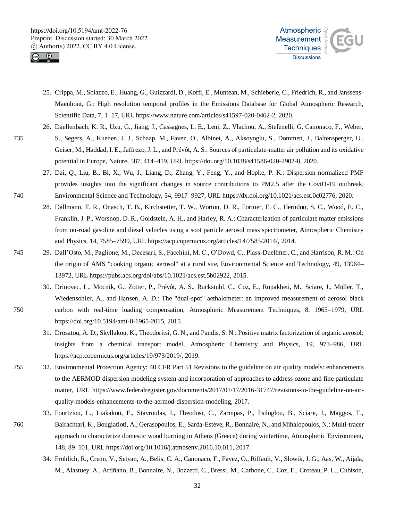![](_page_31_Picture_1.jpeg)

![](_page_31_Picture_2.jpeg)

- 25. Crippa, M., Solazzo, E., Huang, G., Guizzardi, D., Koffi, E., Muntean, M., Schieberle, C., Friedrich, R., and Janssens-Maenhout, G.: High resolution temporal profiles in the Emissions Database for Global Atmospheric Research, Scientific Data, 7, 1–17, URL https://www.nature.com/articles/s41597-020-0462-2, 2020.
- 26. Daellenbach, K. R., Uzu, G., Jiang, J., Cassagnes, L. E., Leni, Z., Vlachou, A., Stefenelli, G. Canonaco, F., Weber, 735 S., Segers, A., Kuenen, J. J., Schaap, M., Favez, O., Albinet, A., Aksoyoglu, S., Dommen, J., Baltensperger, U., Geiser, M., Haddad, I. E., Jaffrezo, J. L., and Prévôt, A. S.: Sources of particulate-matter air pollution and its oxidative potential in Europe, Nature, 587, 414–419, URL https://doi.org/10.1038/s41586-020-2902-8, 2020.
- 27. Dai, *Q*., Liu, B., Bi, X., Wu, J., Liang, D., Zhang, Y., Feng, Y., and Hopke, P. K.: Dispersion normalized PMF provides insights into the significant changes in source contributions to PM2.5 after the CoviD-19 outbreak, 740 Environmental Science and Technology, 54, 9917–9927, URL https://dx.doi.org/10.1021/acs.est.0c02776, 2020.
	- 28. Dallmann, T. R., Onasch, T. B., Kirchstetter, T. W., Worton, D. R., Fortner, E. C., Herndon, S. C., Wood, E. C., Franklin, J. P., Worsnop, D. R., Goldstein, A. H., and Harley, R. A.: Characterization of particulate matter emissions from on-road gasoline and diesel vehicles using a soot particle aerosol mass spectrometer, Atmospheric Chemistry and Physics, 14, 7585–7599, URL https://acp.copernicus.org/articles/14/7585/2014/, 2014.
- 745 29. Dall'Osto, M., Paglione, M., Decesari, S., Facchini, M. C., O'Dowd, C., Plass-Duellmer, C., and Harrison, R. M.: On the origin of AMS "cooking organic aerosol" at a rural site, Environmental Science and Technology, 49, 13964– 13972, URL https://pubs.acs.org/doi/abs/10.1021/acs.est.5b02922, 2015.
- 30. Drinovec, L., Mocnik, G., Zotter, P., Prévôt, A. S., Ruckstuhl, C., Coz, E., Rupakheti, M., Sciare, J., Müller, T., Wiedensohler, A., and Hansen, A. D.: The "dual-spot" aethalometer: an improved measurement of aerosol black 750 carbon with real-time loading compensation, Atmospheric Measurement Techniques, 8, 1965–1979, URL https://doi.org/10.5194/amt-8-1965-2015, 2015.
	- 31. Drosatou, A. D., Skyllakou, K., Theodoritsi, G. N., and Pandis, S. N.: Positive matrix factorization of organic aerosol: insights from a chemical transport model, Atmospheric Chemistry and Physics, 19, 973–986, URL https://acp.copernicus.org/articles/19/973/2019/, 2019.
- 755 32. Environmental Protection Agency: 40 CFR Part 51 Revisions to the guideline on air quality models: enhancements to the AERMOD dispersion modeling system and incorporation of approaches to address ozone and fine particulate matter, URL https://www.federalregister.gov/documents/2017/01/17/2016-31747/revisions-to-the-guideline-on-airquality-models-enhancements-to-the-aermod-dispersion-modeling, 2017.
- 33. Fourtziou, L., Liakakou, E., Stavroulas, I., Theodosi, C., Zarmpas, P., Psiloglou, B., Sciare, J., Maggos, T., 760 Bairachtari, K., Bougiatioti, A., Gerasopoulos, E., Sarda-Estève, R., Bonnaire, N., and Mihalopoulos, N.: Multi-tracer approach to characterize domestic wood burning in Athens (Greece) during wintertime, Atmospheric Environment, 148, 89–101, URL https://doi.org/10.1016/j.atmosenv.2016.10.011, 2017.
	- 34. Fröhlich, R., Crenn, V., Setyan, A., Belis, C. A., Canonaco, F., Favez, O., Riffault, V., Slowik, J. G., Aas, W., Aijälä, M., Alastuey, A., Artiñano, B., Bonnaire, N., Bozzetti, C., Bressi, M., Carbone, C., Coz, E., Croteau, P. L., Cubison,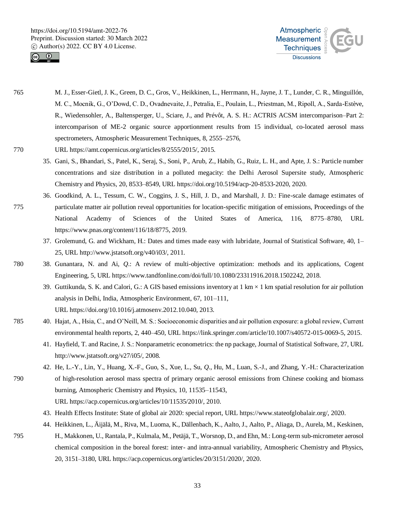![](_page_32_Picture_1.jpeg)

![](_page_32_Picture_2.jpeg)

- 765 M. J., Esser-Gietl, J. K., Green, D. C., Gros, V., Heikkinen, L., Herrmann, H., Jayne, J. T., Lunder, C. R., Minguillón, M. C., Mocnik, G., O'Dowd, C. D., Ovadnevaite, J., Petralia, E., Poulain, L., Priestman, M., Ripoll, A., Sarda-Estève, R., Wiedensohler, A., Baltensperger, U., Sciare, J., and Prévôt, A. S. H.: ACTRIS ACSM intercomparison–Part 2: intercomparison of ME-2 organic source apportionment results from 15 individual, co-located aerosol mass spectrometers, Atmospheric Measurement Techniques, 8, 2555–2576,
- 770 URL https://amt.copernicus.org/articles/8/2555/2015/, 2015.
	- 35. Gani, S., Bhandari, S., Patel, K., Seraj, S., Soni, P., Arub, Z., Habib, G., Ruiz, L. H., and Apte, J. S.: Particle number concentrations and size distribution in a polluted megacity: the Delhi Aerosol Supersite study, Atmospheric Chemistry and Physics, 20, 8533–8549, URL https://doi.org/10.5194/acp-20-8533-2020, 2020.
- 36. Goodkind, A. L., Tessum, C. W., Coggins, J. S., Hill, J. D., and Marshall, J. D.: Fine-scale damage estimates of 775 particulate matter air pollution reveal opportunities for location-specific mitigation of emissions, Proceedings of the National Academy of Sciences of the United States of America, 116, 8775–8780, URL https://www.pnas.org/content/116/18/8775, 2019.
	- 37. Grolemund, G. and Wickham, H.: Dates and times made easy with lubridate, Journal of Statistical Software, 40, 1– 25, URL http://www.jstatsoft.org/v40/i03/, 2011.
- 780 38. Gunantara, N. and Ai, *Q*.: A review of multi-objective optimization: methods and its applications, Cogent Engineering, 5, URL https://www.tandfonline.com/doi/full/10.1080/23311916.2018.1502242, 2018.
	- 39. Guttikunda, S. K. and Calori, G.: A GIS based emissions inventory at  $1 \text{ km} \times 1 \text{ km}$  spatial resolution for air pollution analysis in Delhi, India, Atmospheric Environment, 67, 101–111, URL https://doi.org/10.1016/j.atmosenv.2012.10.040, 2013.
- 785 40. Hajat, A., Hsia, C., and O'Neill, M. S.: Socioeconomic disparities and air pollution exposure: a global review, Current environmental health reports, 2, 440–450, URL https://link.springer.com/article/10.1007/s40572-015-0069-5, 2015.
	- 41. Hayfield, T. and Racine, J. S.: Nonparametric econometrics: the np package, Journal of Statistical Software, 27, URL http://www.jstatsoft.org/v27/i05/, 2008.
- 42. He, L.-Y., Lin, Y., Huang, X.-F., Guo, S., Xue, L., Su, *Q*., Hu, M., Luan, S.-J., and Zhang, Y.-H.: Characterization 790 of high-resolution aerosol mass spectra of primary organic aerosol emissions from Chinese cooking and biomass burning, Atmospheric Chemistry and Physics, 10, 11535–11543, URL https://acp.copernicus.org/articles/10/11535/2010/, 2010.
	- 43. Health Effects Institute: State of global air 2020: special report, URL https://www.stateofglobalair.org/, 2020.
- 44. Heikkinen, L., Äijälä, M., Riva, M., Luoma, K., Dällenbach, K., Aalto, J., Aalto, P., Aliaga, D., Aurela, M., Keskinen, 795 H., Makkonen, U., Rantala, P., Kulmala, M., Petäjä, T., Worsnop, D., and Ehn, M.: Long-term sub-micrometer aerosol chemical composition in the boreal forest: inter- and intra-annual variability, Atmospheric Chemistry and Physics, 20, 3151–3180, URL https://acp.copernicus.org/articles/20/3151/2020/, 2020.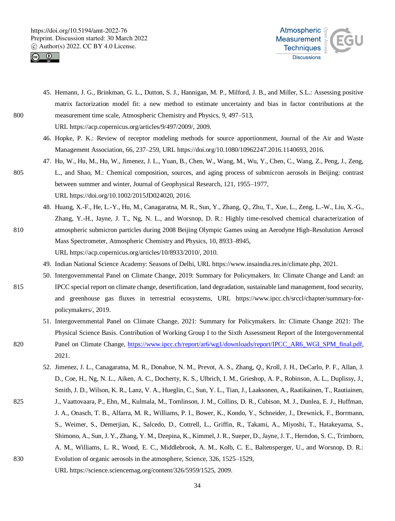![](_page_33_Picture_1.jpeg)

![](_page_33_Picture_2.jpeg)

45. Hemann, J. G., Brinkman, G. L., Dutton, S. J., Hannigan, M. P., Milford, J. B., and Miller, S.L.: Assessing positive matrix factorization model fit: a new method to estimate uncertainty and bias in factor contributions at the 800 measurement time scale, Atmospheric Chemistry and Physics, 9, 497–513,

URL https://acp.copernicus.org/articles/9/497/2009/, 2009.

- 46. Hopke, P. K.: Review of receptor modeling methods for source apportionment, Journal of the Air and Waste Management Association, 66, 237–259, URL https://doi.org/10.1080/10962247.2016.1140693, 2016.
- 47. Hu, W., Hu, M., Hu, W., Jimenez, J. L., Yuan, B., Chen, W., Wang, M., Wu, Y., Chen, C., Wang, Z., Peng, J., Zeng, 805 L., and Shao, M.: Chemical composition, sources, and aging process of submicron aerosols in Beijing: contrast between summer and winter, Journal of Geophysical Research, 121, 1955–1977, URL https://doi.org/10.1002/2015JD024020, 2016.
- 48. Huang, X.-F., He, L.-Y., Hu, M., Canagaratna, M. R., Sun, Y., Zhang, *Q*., Zhu, T., Xue, L., Zeng, L.-W., Liu, X.-G., Zhang, Y.-H., Jayne, J. T., Ng, N. L., and Worsnop, D. R.: Highly time-resolved chemical characterization of 810 atmospheric submicron particles during 2008 Beijing Olympic Games using an Aerodyne High-Resolution Aerosol Mass Spectrometer, Atmospheric Chemistry and Physics, 10, 8933–8945, URL https://acp.copernicus.org/articles/10/8933/2010/, 2010.
	- 49. Indian National Science Academy: Seasons of Delhi, URL https://www.insaindia.res.in/climate.php, 2021.
	- 50. Intergovernmental Panel on Climate Change, 2019: Summary for Policymakers. In: Climate Change and Land: an
- 815 IPCC special report on climate change, desertification, land degradation, sustainable land management, food security, and greenhouse gas fluxes in terrestrial ecosystems, URL https://www.ipcc.ch/srccl/chapter/summary-forpolicymakers/, 2019.
- 51. Intergovernmental Panel on Climate Change, 2021: Summary for Policymakers. In: Climate Change 2021: The Physical Science Basis. Contribution of Working Group I to the Sixth Assessment Report of the Intergovernmental 820 Panel on Climate Change, https://www.ipcc.ch/report/ar6/wg1/downloads/report/IPCC\_AR6\_WGI\_SPM\_final.pdf, 2021.
	- 52. Jimenez, J. L., Canagaratna, M. R., Donahue, N. M., Prevot, A. S., Zhang, *Q*., Kroll, J. H., DeCarlo, P. F., Allan, J. D., Coe, H., Ng, N. L., Aiken, A. C., Docherty, K. S., Ulbrich, I. M., Grieshop, A. P., Robinson, A. L., Duplissy, J., Smith, J. D., Wilson, K. R., Lanz, V. A., Hueglin, C., Sun, Y. L., Tian, J., Laaksonen, A., Raatikainen, T., Rautiainen,
- 825 J., Vaattovaara, P., Ehn, M., Kulmala, M., Tomlinson, J. M., Collins, D. R., Cubison, M. J., Dunlea, E. J., Huffman, J. A., Onasch, T. B., Alfarra, M. R., Williams, P. I., Bower, K., Kondo, Y., Schneider, J., Drewnick, F., Borrmann, S., Weimer, S., Demerjian, K., Salcedo, D., Cottrell, L., Griffin, R., Takami, A., Miyoshi, T., Hatakeyama, S., Shimono, A., Sun, J. Y., Zhang, Y. M., Dzepina, K., Kimmel, J. R., Sueper, D., Jayne, J. T., Herndon, S. C., Trimborn, A. M., Williams, L. R., Wood, E. C., Middlebrook, A. M., Kolb, C. E., Baltensperger, U., and Worsnop, D. R.: 830 Evolution of organic aerosols in the atmosphere, Science, 326, 1525–1529,
	- URL https://science.sciencemag.org/content/326/5959/1525, 2009.
		- 34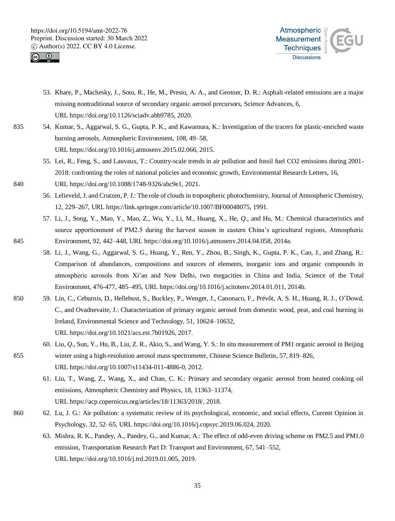![](_page_34_Picture_1.jpeg)

![](_page_34_Picture_2.jpeg)

- 53. Khare, P., Machesky, J., Soto, R., He, M., Presto, A. A., and Gentner, D. R.: Asphalt-related emissions are a major missing nontraditional source of secondary organic aerosol precursors, Science Advances, 6, URL https://doi.org/10.1126/sciadv.abb9785, 2020.
- 835 54. Kumar, S., Aggarwal, S. G., Gupta, P. K., and Kawamura, K.: Investigation of the tracers for plastic-enriched waste burning aerosols, Atmospheric Environment, 108, 49–58, URL https://doi.org/10.1016/j.atmosenv.2015.02.066, 2015.
	- 55. Lei, R., Feng, S., and Lauvaux, T.: Country-scale trends in air pollution and fossil fuel CO2 emissions during 2001- 2018: confronting the roles of national policies and economic growth, Environmental Research Letters, 16,
- 840 URL https://doi.org/10.1088/1748-9326/abc9e1, 2021.
	- 56. Lelieveld, J. and Crutzen, P. J.: The role of clouds in tropospheric photochemistry, Journal of Atmospheric Chemistry, 12, 229–267, URL https://link.springer.com/article/10.1007/BF00048075, 1991.
- 57. Li, J., Song, Y., Mao, Y., Mao, Z., Wu, Y., Li, M., Huang, X., He, *Q*., and Hu, M.: Chemical characteristics and source apportionment of PM2.5 during the harvest season in eastern China's agricultural regions, Atmospheric 845 Environment, 92, 442–448, URL https://doi.org/10.1016/j.atmosenv.2014.04.058, 2014a.
	- 58. Li, J., Wang, G., Aggarwal, S. G., Huang, Y., Ren, Y., Zhou, B., Singh, K., Gupta, P. K., Cao, J., and Zhang, R.: Comparison of abundances, compositions and sources of elements, inorganic ions and organic compounds in atmospheric aerosols from Xi'an and New Delhi, two megacities in China and India, Science of the Total Environment, 476-477, 485–495, URL https://doi.org/10.1016/j.scitotenv.2014.01.011, 2014b.
- 850 59. Lin, C., Ceburnis, D., Hellebust, S., Buckley, P., Wenger, J., Canonaco, F., Prévôt, A. S. H., Huang, R. J., O'Dowd, C., and Ovadnevaite, J.: Characterization of primary organic aerosol from domestic wood, peat, and coal burning in Ireland, Environmental Science and Technology, 51, 10624–10632, URL https://doi.org/10.1021/acs.est.7b01926, 2017.
- 60. Liu, *Q*., Sun, Y., Hu, B., Liu, Z. R., Akio, S., and Wang, Y. S.: In situ measurement of PM1 organic aerosol in Beijing 855 winter using a high-resolution aerosol mass spectrometer, Chinese Science Bulletin, 57, 819–826, URL https://doi.org/10.1007/s11434-011-4886-0, 2012.
	- 61. Liu, T., Wang, Z., Wang, X., and Chan, C. K.: Primary and secondary organic aerosol from heated cooking oil emissions, Atmospheric Chemistry and Physics, 18, 11363–11374, URL https://acp.copernicus.org/articles/18/11363/2018/, 2018.
- 860 62. Lu, J. G.: Air pollution: a systematic review of its psychological, economic, and social effects, Current Opinion in Psychology, 32, 52–65, URL https://doi.org/10.1016/j.copsyc.2019.06.024, 2020.
	- 63. Mishra, R. K., Pandey, A., Pandey, G., and Kumar, A.: The effect of odd-even driving scheme on PM2.5 and PM1.0 emission, Transportation Research Part D: Transport and Environment, 67, 541–552, URL https://doi.org/10.1016/j.trd.2019.01.005, 2019.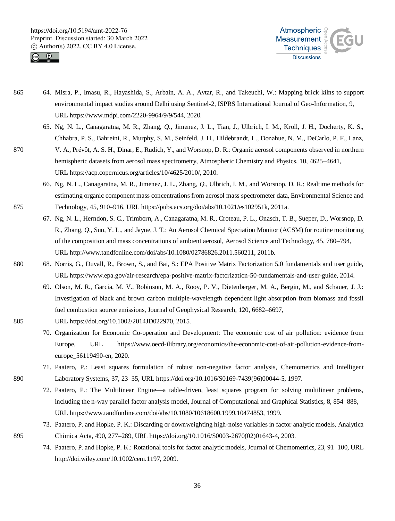![](_page_35_Picture_1.jpeg)

![](_page_35_Picture_2.jpeg)

- 865 64. Misra, P., Imasu, R., Hayashida, S., Arbain, A. A., Avtar, R., and Takeuchi, W.: Mapping brick kilns to support environmental impact studies around Delhi using Sentinel-2, ISPRS International Journal of Geo-Information, 9, URL https://www.mdpi.com/2220-9964/9/9/544, 2020.
- 65. Ng, N. L., Canagaratna, M. R., Zhang, *Q*., Jimenez, J. L., Tian, J., Ulbrich, I. M., Kroll, J. H., Docherty, K. S., Chhabra, P. S., Bahreini, R., Murphy, S. M., Seinfeld, J. H., Hildebrandt, L., Donahue, N. M., DeCarlo, P. F., Lanz, 870 V. A., Prévôt, A. S. H., Dinar, E., Rudich, Y., and Worsnop, D. R.: Organic aerosol components observed in northern hemispheric datasets from aerosol mass spectrometry, Atmospheric Chemistry and Physics, 10, 4625–4641,

URL https://acp.copernicus.org/articles/10/4625/2010/, 2010.

- 66. Ng, N. L., Canagaratna, M. R., Jimenez, J. L., Zhang, *Q*., Ulbrich, I. M., and Worsnop, D. R.: Realtime methods for estimating organic component mass concentrations from aerosol mass spectrometer data, Environmental Science and 875 Technology, 45, 910–916, URL https://pubs.acs.org/doi/abs/10.1021/es102951k, 2011a.
	- 67. Ng, N. L., Herndon, S. C., Trimborn, A., Canagaratna, M. R., Croteau, P. L., Onasch, T. B., Sueper, D., Worsnop, D. R., Zhang, *Q*., Sun, Y. L., and Jayne, J. T.: An Aerosol Chemical Speciation Monitor (ACSM) for routine monitoring of the composition and mass concentrations of ambient aerosol, Aerosol Science and Technology, 45, 780–794, URL http://www.tandfonline.com/doi/abs/10.1080/02786826.2011.560211, 2011b.
- 880 68. Norris, G., Duvall, R., Brown, S., and Bai, S.: EPA Positive Matrix Factorization 5.0 fundamentals and user guide, URL https://www.epa.gov/air-research/epa-positive-matrix-factorization-50-fundamentals-and-user-guide, 2014.
	- 69. Olson, M. R., Garcia, M. V., Robinson, M. A., Rooy, P. V., Dietenberger, M. A., Bergin, M., and Schauer, J. J.: Investigation of black and brown carbon multiple-wavelength dependent light absorption from biomass and fossil fuel combustion source emissions, Journal of Geophysical Research, 120, 6682–6697,
- 885 URL https://doi.org/10.1002/2014JD022970, 2015.
	- 70. Organization for Economic Co-operation and Development: The economic cost of air pollution: evidence from Europe, URL https://www.oecd-ilibrary.org/economics/the-economic-cost-of-air-pollution-evidence-fromeurope\_56119490-en, 2020.
- 71. Paatero, P.: Least squares formulation of robust non-negative factor analysis, Chemometrics and Intelligent 890 Laboratory Systems, 37, 23–35, URL https://doi.org/10.1016/S0169-7439(96)00044-5, 1997.
	- 72. Paatero, P.: The Multilinear Engine—a table-driven, least squares program for solving multilinear problems, including the n-way parallel factor analysis model, Journal of Computational and Graphical Statistics, 8, 854–888, URL https://www.tandfonline.com/doi/abs/10.1080/10618600.1999.10474853, 1999.
- 73. Paatero, P. and Hopke, P. K.: Discarding or downweighting high-noise variables in factor analytic models, Analytica 895 Chimica Acta, 490, 277–289, URL https://doi.org/10.1016/S0003-2670(02)01643-4, 2003.
	- 74. Paatero, P. and Hopke, P. K.: Rotational tools for factor analytic models, Journal of Chemometrics, 23, 91–100, URL http://doi.wiley.com/10.1002/cem.1197, 2009.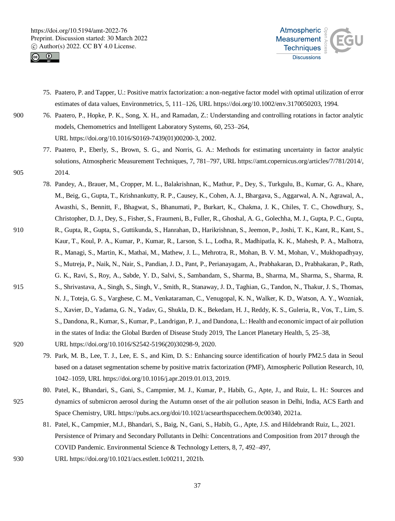![](_page_36_Picture_1.jpeg)

![](_page_36_Picture_2.jpeg)

- 75. Paatero, P. and Tapper, U.: Positive matrix factorization: a non-negative factor model with optimal utilization of error estimates of data values, Environmetrics, 5, 111–126, URL https://doi.org/10.1002/env.3170050203, 1994.
- 900 76. Paatero, P., Hopke, P. K., Song, X. H., and Ramadan, Z.: Understanding and controlling rotations in factor analytic models, Chemometrics and Intelligent Laboratory Systems, 60, 253–264, URL https://doi.org/10.1016/S0169-7439(01)00200-3, 2002.
- 77. Paatero, P., Eberly, S., Brown, S. G., and Norris, G. A.: Methods for estimating uncertainty in factor analytic solutions, Atmospheric Measurement Techniques, 7, 781–797, URL https://amt.copernicus.org/articles/7/781/2014/, 905 2014.
- 78. Pandey, A., Brauer, M., Cropper, M. L., Balakrishnan, K., Mathur, P., Dey, S., Turkgulu, B., Kumar, G. A., Khare, M., Beig, G., Gupta, T., Krishnankutty, R. P., Causey, K., Cohen, A. J., Bhargava, S., Aggarwal, A. N., Agrawal, A., Awasthi, S., Bennitt, F., Bhagwat, S., Bhanumati, P., Burkart, K., Chakma, J. K., Chiles, T. C., Chowdhury, S., Christopher, D. J., Dey, S., Fisher, S., Fraumeni, B., Fuller, R., Ghoshal, A. G., Golechha, M. J., Gupta, P. C., Gupta, 910 R., Gupta, R., Gupta, S., Guttikunda, S., Hanrahan, D., Harikrishnan, S., Jeemon, P., Joshi, T. K., Kant, R., Kant, S., Kaur, T., Koul, P. A., Kumar, P., Kumar, R., Larson, S. L., Lodha, R., Madhipatla, K. K., Mahesh, P. A., Malhotra, R., Managi, S., Martin, K., Mathai, M., Mathew, J. L., Mehrotra, R., Mohan, B. V. M., Mohan, V., Mukhopadhyay, S., Mutreja, P., Naik, N., Nair, S., Pandian, J. D., Pant, P., Perianayagam, A., Prabhakaran, D., Prabhakaran, P., Rath, G. K., Ravi, S., Roy, A., Sabde, Y. D., Salvi, S., Sambandam, S., Sharma, B., Sharma, M., Sharma, S., Sharma, R. 915 S., Shrivastava, A., Singh, S., Singh, V., Smith, R., Stanaway, J. D., Taghian, G., Tandon, N., Thakur, J. S., Thomas, N. J., Toteja, G. S., Varghese, C. M., Venkataraman, C., Venugopal, K. N., Walker, K. D., Watson, A. Y., Wozniak, S., Xavier, D., Yadama, G. N., Yadav, G., Shukla, D. K., Bekedam, H. J., Reddy, K. S., Guleria, R., Vos, T., Lim, S. S., Dandona, R., Kumar, S., Kumar, P., Landrigan, P. J., and Dandona, L.: Health and economic impact of air pollution in the states of India: the Global Burden of Disease Study 2019, The Lancet Planetary Health, 5, 25–38, 920 URL https://doi.org/10.1016/S2542-5196(20)30298-9, 2020.
	- 79. Park, M. B., Lee, T. J., Lee, E. S., and Kim, D. S.: Enhancing source identification of hourly PM2.5 data in Seoul based on a dataset segmentation scheme by positive matrix factorization (PMF), Atmospheric Pollution Research, 10, 1042–1059, URL https://doi.org/10.1016/j.apr.2019.01.013, 2019.
- 80. Patel, K., Bhandari, S., Gani, S., Campmier, M. J., Kumar, P., Habib, G., Apte, J., and Ruiz, L. H.: Sources and 925 dynamics of submicron aerosol during the Autumn onset of the air pollution season in Delhi, India, ACS Earth and Space Chemistry, URL https://pubs.acs.org/doi/10.1021/acsearthspacechem.0c00340, 2021a.
	- 81. Patel, K., Campmier, M.J., Bhandari, S., Baig, N., Gani, S., Habib, G., Apte, J.S. and Hildebrandt Ruiz, L., 2021. Persistence of Primary and Secondary Pollutants in Delhi: Concentrations and Composition from 2017 through the COVID Pandemic. Environmental Science & Technology Letters, 8, 7, 492–497,
- 930 URL https://doi.org/10.1021/acs.estlett.1c00211, 2021b.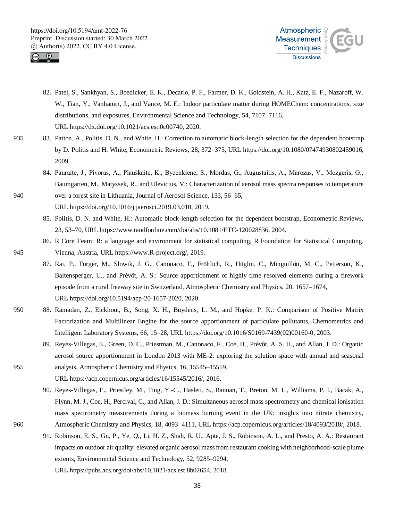![](_page_37_Picture_1.jpeg)

![](_page_37_Picture_2.jpeg)

- 82. Patel, S., Sankhyan, S., Boedicker, E. K., Decarlo, P. F., Farmer, D. K., Goldstein, A. H., Katz, E. F., Nazaroff, W. W., Tian, Y., Vanhanen, J., and Vance, M. E.: Indoor particulate matter during HOMEChem: concentrations, size distributions, and exposures, Environmental Science and Technology, 54, 7107–7116, URL https://dx.doi.org/10.1021/acs.est.0c00740, 2020.
- 935 83. Patton, A., Politis, D. N., and White, H.: Correction to automatic block-length selection for the dependent bootstrap by D. Politis and H. White, Econometric Reviews, 28, 372–375, URL https://doi.org/10.1080/07474930802459016, 2009.
- 84. Pauraite, J., Pivoras, A., Plauškaite, K., Bycenkiene, S., Mordas, G., Augustaitis, A., Marozas, V., Mozgeris, G., Baumgarten, M., Matyssek, R., and Ulevicius, V.: Characterization of aerosol mass spectra responses to temperature 940 over a forest site in Lithuania, Journal of Aerosol Science, 133, 56–65, URL https://doi.org/10.1016/j.jaerosci.2019.03.010, 2019.
	- 85. Politis, D. N. and White, H.: Automatic block-length selection for the dependent bootstrap, Econometric Reviews, 23, 53–70, URL https://www.tandfonline.com/doi/abs/10.1081/ETC-120028836, 2004.
- 86. R Core Team: R: a language and environment for statistical computing, R Foundation for Statistical Computing, 945 Vienna, Austria, URL https://www.R-project.org/, 2019.
	- 87. Rai, P., Furger, M., Slowik, J. G., Canonaco, F., Fröhlich, R., Hüglin, C., Minguillón, M. C., Petterson, K., Baltensperger, U., and Prévôt, A. S.: Source apportionment of highly time resolved elements during a firework episode from a rural freeway site in Switzerland, Atmospheric Chemistry and Physics, 20, 1657–1674, URL https://doi.org/10.5194/acp-20-1657-2020, 2020.
- 950 88. Ramadan, Z., Eickhout, B., Song, X. H., Buydens, L. M., and Hopke, P. K.: Comparison of Positive Matrix Factorization and Multilinear Engine for the source apportionment of particulate pollutants, Chemometrics and Intelligent Laboratory Systems, 66, 15–28, URL https://doi.org/10.1016/S0169-7439(02)00160-0, 2003.
- 89. Reyes-Villegas, E., Green, D. C., Priestman, M., Canonaco, F., Coe, H., Prévôt, A. S. H., and Allan, J. D.: Organic aerosol source apportionment in London 2013 with ME-2: exploring the solution space with annual and seasonal 955 analysis, Atmospheric Chemistry and Physics, 16, 15545–15559,
	- URL https://acp.copernicus.org/articles/16/15545/2016/, 2016.
- 90. Reyes-Villegas, E., Priestley, M., Ting, Y.-C., Haslett, S., Bannan, T., Breton, M. L., Williams, P. I., Bacak, A., Flynn, M. J., Coe, H., Percival, C., and Allan, J. D.: Simultaneous aerosol mass spectrometry and chemical ionisation mass spectrometry measurements during a biomass burning event in the UK: insights into nitrate chemistry, 960 Atmospheric Chemistry and Physics, 18, 4093–4111, URL https://acp.copernicus.org/articles/18/4093/2018/, 2018.
	- 91. Robinson, E. S., Gu, P., Ye, *Q*., Li, H. Z., Shah, R. U., Apte, J. S., Robinson, A. L., and Presto, A. A.: Restaurant impacts on outdoor air quality: elevated organic aerosol mass from restaurant cooking with neighborhood-scale plume extents, Environmental Science and Technology, 52, 9285–9294, URL https://pubs.acs.org/doi/abs/10.1021/acs.est.8b02654, 2018.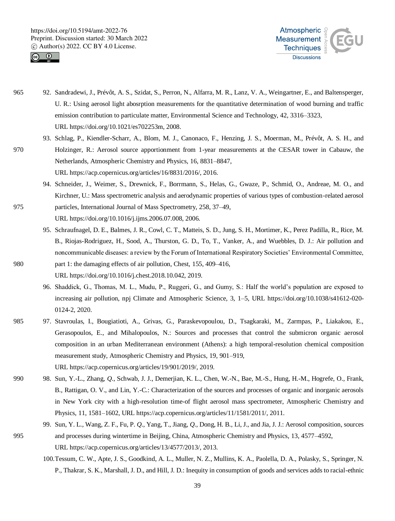![](_page_38_Picture_1.jpeg)

![](_page_38_Picture_2.jpeg)

- 965 92. Sandradewi, J., Prévôt, A. S., Szidat, S., Perron, N., Alfarra, M. R., Lanz, V. A., Weingartner, E., and Baltensperger, U. R.: Using aerosol light abosrption measurements for the quantitative determination of wood burning and traffic emission contribution to particulate matter, Environmental Science and Technology, 42, 3316–3323, URL https://doi.org/10.1021/es702253m, 2008.
- 93. Schlag, P., Kiendler-Scharr, A., Blom, M. J., Canonaco, F., Henzing, J. S., Moerman, M., Prévôt, A. S. H., and 970 Holzinger, R.: Aerosol source apportionment from 1-year measurements at the CESAR tower in Cabauw, the Netherlands, Atmospheric Chemistry and Physics, 16, 8831–8847, URL https://acp.copernicus.org/articles/16/8831/2016/, 2016.
- 94. Schneider, J., Weimer, S., Drewnick, F., Borrmann, S., Helas, G., Gwaze, P., Schmid, O., Andreae, M. O., and Kirchner, U.: Mass spectrometric analysis and aerodynamic properties of various types of combustion-related aerosol 975 particles, International Journal of Mass Spectrometry, 258, 37–49, URL https://doi.org/10.1016/j.ijms.2006.07.008, 2006.
	- 95. Schraufnagel, D. E., Balmes, J. R., Cowl, C. T., Matteis, S. D., Jung, S. H., Mortimer, K., Perez Padilla, R., Rice, M. B., Riojas-Rodriguez, H., Sood, A., Thurston, G. D., To, T., Vanker, A., and Wuebbles, D. J.: Air pollution and noncommunicable diseases: a review by the Forum of International Respiratory Societies' Environmental Committee,
- 980 part 1: the damaging effects of air pollution, Chest, 155, 409–416, URL https://doi.org/10.1016/j.chest.2018.10.042, 2019.
	- 96. Shaddick, G., Thomas, M. L., Mudu, P., Ruggeri, G., and Gumy, S.: Half the world's population are exposed to increasing air pollution, npj Climate and Atmospheric Science, 3, 1–5, URL https://doi.org/10.1038/s41612-020- 0124-2, 2020.
- 985 97. Stavroulas, I., Bougiatioti, A., Grivas, G., Paraskevopoulou, D., Tsagkaraki, M., Zarmpas, P., Liakakou, E., Gerasopoulos, E., and Mihalopoulos, N.: Sources and processes that control the submicron organic aerosol composition in an urban Mediterranean environment (Athens): a high temporal-resolution chemical composition measurement study, Atmospheric Chemistry and Physics, 19, 901–919, URL https://acp.copernicus.org/articles/19/901/2019/, 2019.
- 990 98. Sun, Y.-L., Zhang, *Q*., Schwab, J. J., Demerjian, K. L., Chen, W.-N., Bae, M.-S., Hung, H.-M., Hogrefe, O., Frank, B., Rattigan, O. V., and Lin, Y.-C.: Characterization of the sources and processes of organic and inorganic aerosols in New York city with a high-resolution time-of flight aerosol mass spectrometer, Atmospheric Chemistry and Physics, 11, 1581–1602, URL https://acp.copernicus.org/articles/11/1581/2011/, 2011.
- 99. Sun, Y. L., Wang, Z. F., Fu, P. *Q*., Yang, T., Jiang, *Q*., Dong, H. B., Li, J., and Jia, J. J.: Aerosol composition, sources 995 and processes during wintertime in Beijing, China, Atmospheric Chemistry and Physics, 13, 4577–4592, URL https://acp.copernicus.org/articles/13/4577/2013/, 2013.
	- 100.Tessum, C. W., Apte, J. S., Goodkind, A. L., Muller, N. Z., Mullins, K. A., Paolella, D. A., Polasky, S., Springer, N. P., Thakrar, S. K., Marshall, J. D., and Hill, J. D.: Inequity in consumption of goods and services adds to racial-ethnic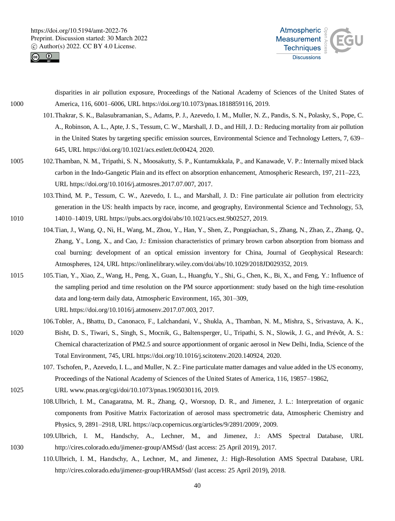![](_page_39_Picture_1.jpeg)

![](_page_39_Picture_2.jpeg)

disparities in air pollution exposure, Proceedings of the National Academy of Sciences of the United States of 1000 America, 116, 6001–6006, URL https://doi.org/10.1073/pnas.1818859116, 2019.

- 101.Thakrar, S. K., Balasubramanian, S., Adams, P. J., Azevedo, I. M., Muller, N. Z., Pandis, S. N., Polasky, S., Pope, C. A., Robinson, A. L., Apte, J. S., Tessum, C. W., Marshall, J. D., and Hill, J. D.: Reducing mortality from air pollution in the United States by targeting specific emission sources, Environmental Science and Technology Letters, 7, 639– 645, URL https://doi.org/10.1021/acs.estlett.0c00424, 2020.
- 1005 102.Thamban, N. M., Tripathi, S. N., Moosakutty, S. P., Kuntamukkala, P., and Kanawade, V. P.: Internally mixed black carbon in the Indo-Gangetic Plain and its effect on absorption enhancement, Atmospheric Research, 197, 211–223, URL https://doi.org/10.1016/j.atmosres.2017.07.007, 2017.
- 103.Thind, M. P., Tessum, C. W., Azevedo, I. L., and Marshall, J. D.: Fine particulate air pollution from electricity generation in the US: health impacts by race, income, and geography, Environmental Science and Technology, 53, 1010 14010–14019, URL https://pubs.acs.org/doi/abs/10.1021/acs.est.9b02527, 2019.
	- 104.Tian, J., Wang, *Q*., Ni, H., Wang, M., Zhou, Y., Han, Y., Shen, Z., Pongpiachan, S., Zhang, N., Zhao, Z., Zhang, *Q*., Zhang, Y., Long, X., and Cao, J.: Emission characteristics of primary brown carbon absorption from biomass and coal burning: development of an optical emission inventory for China, Journal of Geophysical Research: Atmospheres, 124, URL https://onlinelibrary.wiley.com/doi/abs/10.1029/2018JD029352, 2019.
- 1015 105.Tian, Y., Xiao, Z., Wang, H., Peng, X., Guan, L., Huangfu, Y., Shi, G., Chen, K., Bi, X., and Feng, Y.: Influence of the sampling period and time resolution on the PM source apportionment: study based on the high time-resolution data and long-term daily data, Atmospheric Environment, 165, 301–309, URL https://doi.org/10.1016/j.atmosenv.2017.07.003, 2017.
- 106.Tobler, A., Bhattu, D., Canonaco, F., Lalchandani, V., Shukla, A., Thamban, N. M., Mishra, S., Srivastava, A. K., 1020 Bisht, D. S., Tiwari, S., Singh, S., Mocnik, G., Baltensperger, U., Tripathi, S. N., Slowik, J. G., and Prévôt, A. S.: Chemical characterization of PM2.5 and source apportionment of organic aerosol in New Delhi, India, Science of the Total Environment, 745, URL https://doi.org/10.1016/j.scitotenv.2020.140924, 2020.
	- 107. Tschofen, P., Azevedo, I. L., and Muller, N. Z.: Fine particulate matter damages and value added in the US economy, Proceedings of the National Academy of Sciences of the United States of America, 116, 19857–19862,
- 1025 URL www.pnas.org/cgi/doi/10.1073/pnas.1905030116, 2019.
	- 108.Ulbrich, I. M., Canagaratna, M. R., Zhang, *Q*., Worsnop, D. R., and Jimenez, J. L.: Interpretation of organic components from Positive Matrix Factorization of aerosol mass spectrometric data, Atmospheric Chemistry and Physics, 9, 2891–2918, URL https://acp.copernicus.org/articles/9/2891/2009/, 2009.
- 109.Ulbrich, I. M., Handschy, A., Lechner, M., and Jimenez, J.: AMS Spectral Database, URL 1030 http://cires.colorado.edu/jimenez-group/AMSsd/ (last access: 25 April 2019), 2017.
	- 110.Ulbrich, I. M., Handschy, A., Lechner, M., and Jimenez, J.: High-Resolution AMS Spectral Database, URL http://cires.colorado.edu/jimenez-group/HRAMSsd/ (last access: 25 April 2019), 2018.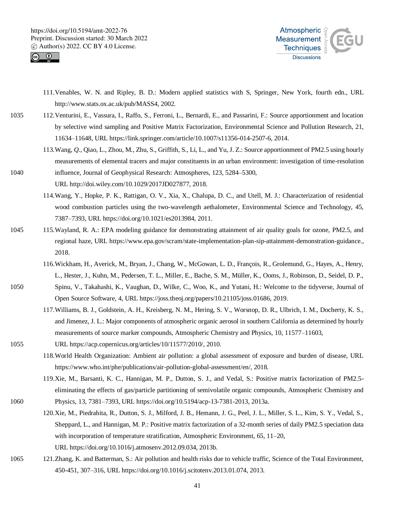![](_page_40_Picture_1.jpeg)

![](_page_40_Picture_2.jpeg)

- 111.Venables, W. N. and Ripley, B. D.: Modern applied statistics with S, Springer, New York, fourth edn., URL http://www.stats.ox.ac.uk/pub/MASS4, 2002.
- 1035 112.Venturini, E., Vassura, I., Raffo, S., Ferroni, L., Bernardi, E., and Passarini, F.: Source apportionment and location by selective wind sampling and Positive Matrix Factorization, Environmental Science and Pollution Research, 21, 11634–11648, URL https://link.springer.com/article/10.1007/s11356-014-2507-6, 2014.
- 113.Wang, *Q*., Qiao, L., Zhou, M., Zhu, S., Griffith, S., Li, L., and Yu, J. Z.: Source apportionment of PM2.5 using hourly measurements of elemental tracers and major constituents in an urban environment: investigation of time-resolution 1040 influence, Journal of Geophysical Research: Atmospheres, 123, 5284–5300,
	- URL http://doi.wiley.com/10.1029/2017JD027877, 2018.
	- 114.Wang, Y., Hopke, P. K., Rattigan, O. V., Xia, X., Chalupa, D. C., and Utell, M. J.: Characterization of residential wood combustion particles using the two-wavelength aethalometer, Environmental Science and Technology, 45, 7387–7393, URL https://doi.org/10.1021/es2013984, 2011.
- 1045 115.Wayland, R. A.: EPA modeling guidance for demonstrating attainment of air quality goals for ozone, PM2.5, and regional haze, URL https://www.epa.gov/scram/state-implementation-plan-sip-attainment-demonstration-guidance., 2018.
	- 116.Wickham, H., Averick, M., Bryan, J., Chang, W., McGowan, L. D., François, R., Grolemund, G., Hayes, A., Henry, L., Hester, J., Kuhn, M., Pedersen, T. L., Miller, E., Bache, S. M., Müller, K., Ooms, J., Robinson, D., Seidel, D. P.,
- 1050 Spinu, V., Takahashi, K., Vaughan, D., Wilke, C., Woo, K., and Yutani, H.: Welcome to the tidyverse, Journal of Open Source Software, 4, URL https://joss.theoj.org/papers/10.21105/joss.01686, 2019.
	- 117.Williams, B. J., Goldstein, A. H., Kreisberg, N. M., Hering, S. V., Worsnop, D. R., Ulbrich, I. M., Docherty, K. S., and Jimenez, J. L.: Major components of atmospheric organic aerosol in southern California as determined by hourly measurements of source marker compounds, Atmospheric Chemistry and Physics, 10, 11577–11603,
- 1055 URL https://acp.copernicus.org/articles/10/11577/2010/, 2010.
	- 118.World Health Organization: Ambient air pollution: a global assessment of exposure and burden of disease, URL https://www.who.int/phe/publications/air-pollution-global-assessment/en/, 2018.
- 119.Xie, M., Barsanti, K. C., Hannigan, M. P., Dutton, S. J., and Vedal, S.: Positive matrix factorization of PM2.5 eliminating the effects of gas/particle partitioning of semivolatile organic compounds, Atmospheric Chemistry and 1060 Physics, 13, 7381–7393, URL https://doi.org/10.5194/acp-13-7381-2013, 2013a.
	- 120.Xie, M., Piedrahita, R., Dutton, S. J., Milford, J. B., Hemann, J. G., Peel, J. L., Miller, S. L., Kim, S. Y., Vedal, S., Sheppard, L., and Hannigan, M. P.: Positive matrix factorization of a 32-month series of daily PM2.5 speciation data with incorporation of temperature stratification, Atmospheric Environment, 65, 11–20, URL https://doi.org/10.1016/j.atmosenv.2012.09.034, 2013b.
- 1065 121.Zhang, K. and Batterman, S.: Air pollution and health risks due to vehicle traffic, Science of the Total Environment, 450-451, 307–316, URL https://doi.org/10.1016/j.scitotenv.2013.01.074, 2013.